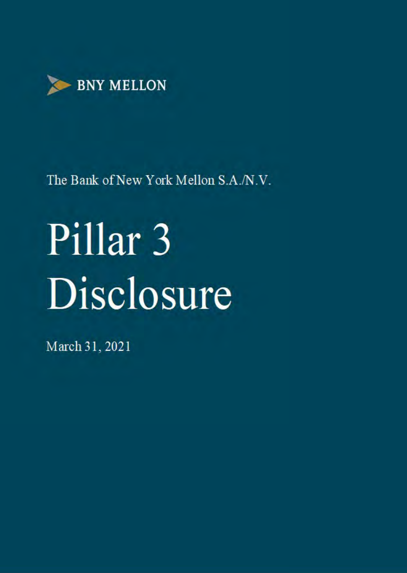

# Pillar<sub>3</sub> Disclosure

March 31, 2021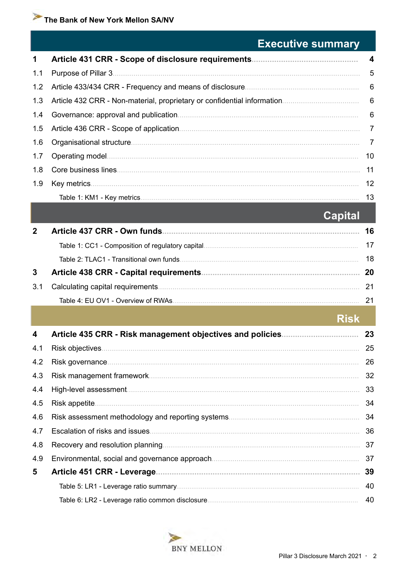# **Executive summary**

| $\mathbf 1$ |                 |
|-------------|-----------------|
| 1.1         | 5               |
| 1.2         | $6\overline{6}$ |
|             |                 |
| 1.4         |                 |
|             | $\overline{7}$  |
| 1.6         | $\overline{7}$  |
| 1.7         | 10              |
| 1.8         | 11              |
| 1.9         | 12              |
|             | 13              |

# **Capital**

|     | Article 437 CRR - Own funds                       | 16 |
|-----|---------------------------------------------------|----|
|     | Table 1: CC1 - Composition of regulatory capital. | 17 |
|     | Table 2: TLAC1 - Transitional own funds.          | 18 |
| 3   | Article 438 CRR - Capital requirements.           | 20 |
| 3.1 | Calculating capital requirements.                 | 21 |
|     | Table 4: EU OV1 - Overview of RWAs.               |    |
|     |                                                   |    |

# **Risk**

| 4   | 23 |
|-----|----|
| 4.1 | 25 |
| 4.2 | 26 |
| 4.3 | 32 |
| 4.4 | 33 |
| 4.5 | 34 |
| 4.6 | 34 |
| 4.7 | 36 |
| 4.8 | 37 |
| 4.9 | 37 |
| 5   | 39 |
|     | 40 |
|     | 40 |

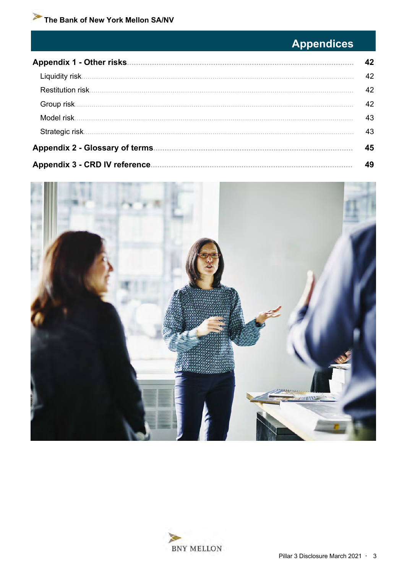# **Appendices**

| <b>Appendix 1 - Other risks.</b>       | 42 |
|----------------------------------------|----|
|                                        | 42 |
| Restitution risk.                      | 42 |
| Group risk.                            | 42 |
| Model risk.                            | 43 |
|                                        | 43 |
| <b>Appendix 2 - Glossary of terms.</b> | 45 |
| <b>Appendix 3 - CRD IV reference.</b>  | 49 |



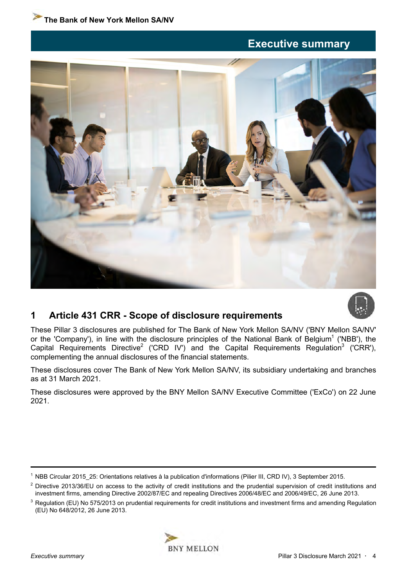# **Executive summary**

<span id="page-3-0"></span>



# **1 Article 431 CRR - Scope of disclosure requirements**

These Pillar 3 disclosures are published for The Bank of New York Mellon SA/NV ('BNY Mellon SA/NV' or the 'Company'), in line with the disclosure principles of the National Bank of Belgium<sup>1</sup> ('NBB'), the Capital Requirements Directive<sup>2</sup> ('CRD IV') and the Capital Requirements Regulation<sup>3</sup> ('CRR'), complementing the annual disclosures of the financial statements.

These disclosures cover The Bank of New York Mellon SA/NV, its subsidiary undertaking and branches as at 31 March 2021.

These disclosures were approved by the BNY Mellon SA/NV Executive Committee ('ExCo') on 22 June 2021.

 $3$  Regulation (EU) No 575/2013 on prudential requirements for credit institutions and investment firms and amending Regulation (EU) No 648/2012, 26 June 2013.



<sup>&</sup>lt;sup>1</sup> NBB Circular 2015\_25: Orientations relatives à la publication d'informations (Pilier III, CRD IV), 3 September 2015.

 $2$  Directive 2013/36/EU on access to the activity of credit institutions and the prudential supervision of credit institutions and investment firms, amending Directive 2002/87/EC and repealing Directives 2006/48/EC and 2006/49/EC, 26 June 2013.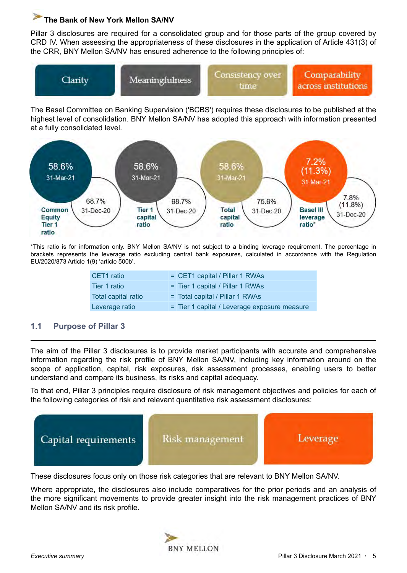<span id="page-4-0"></span>Pillar 3 disclosures are required for a consolidated group and for those parts of the group covered by CRD IV. When assessing the appropriateness of these disclosures in the application of Article 431(3) of the CRR, BNY Mellon SA/NV has ensured adherence to the following principles of:



The Basel Committee on Banking Supervision ('BCBS') requires these disclosures to be published at the highest level of consolidation. BNY Mellon SA/NV has adopted this approach with information presented at a fully consolidated level.



\*This ratio is for information only. BNY Mellon SA/NV is not subject to a binding leverage requirement. The percentage in brackets represents the leverage ratio excluding central bank exposures, calculated in accordance with the Regulation EU/2020/873 Article 1(9) 'article 500b'.

| CET1 ratio          | = CET1 capital / Pillar 1 RWAs               |
|---------------------|----------------------------------------------|
| Tier 1 ratio        | = Tier 1 capital / Pillar 1 RWAs             |
| Total capital ratio | $=$ Total capital / Pillar 1 RWAs            |
| Leverage ratio      | = Tier 1 capital / Leverage exposure measure |

#### **1.1 Purpose of Pillar 3**

The aim of the Pillar 3 disclosures is to provide market participants with accurate and comprehensive information regarding the risk profile of BNY Mellon SA/NV, including key information around on the scope of application, capital, risk exposures, risk assessment processes, enabling users to better understand and compare its business, its risks and capital adequacy.

To that end, Pillar 3 principles require disclosure of risk management objectives and policies for each of the following categories of risk and relevant quantitative risk assessment disclosures:



These disclosures focus only on those risk categories that are relevant to BNY Mellon SA/NV.

Where appropriate, the disclosures also include comparatives for the prior periods and an analysis of the more significant movements to provide greater insight into the risk management practices of BNY Mellon SA/NV and its risk profile.

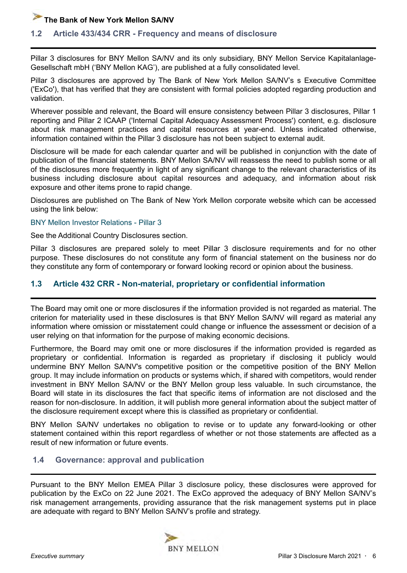#### <span id="page-5-0"></span>**1.2 Article 433/434 CRR - Frequency and means of disclosure**

Pillar 3 disclosures for BNY Mellon SA/NV and its only subsidiary, BNY Mellon Service Kapitalanlage-Gesellschaft mbH ('BNY Mellon KAG'), are published at a fully consolidated level.

Pillar 3 disclosures are approved by The Bank of New York Mellon SA/NV's s Executive Committee ('ExCo'), that has verified that they are consistent with formal policies adopted regarding production and validation.

Wherever possible and relevant, the Board will ensure consistency between Pillar 3 disclosures, Pillar 1 reporting and Pillar 2 ICAAP ('Internal Capital Adequacy Assessment Process') content, e.g. disclosure about risk management practices and capital resources at year-end. Unless indicated otherwise, information contained within the Pillar 3 disclosure has not been subject to external audit.

Disclosure will be made for each calendar quarter and will be published in conjunction with the date of publication of the financial statements. BNY Mellon SA/NV will reassess the need to publish some or all of the disclosures more frequently in light of any significant change to the relevant characteristics of its business including disclosure about capital resources and adequacy, and information about risk exposure and other items prone to rapid change.

Disclosures are published on The Bank of New York Mellon corporate website which can be accessed using the link below:

#### [BNY Mellon Investor Relations - Pillar 3](https://www.bnymellon.com/us/en/investor-relations/regulatory-filings.html#other_regulatory)

See the Additional Country Disclosures section.

Pillar 3 disclosures are prepared solely to meet Pillar 3 disclosure requirements and for no other purpose. These disclosures do not constitute any form of financial statement on the business nor do they constitute any form of contemporary or forward looking record or opinion about the business.

#### **1.3 Article 432 CRR - Non-material, proprietary or confidential information**

The Board may omit one or more disclosures if the information provided is not regarded as material. The criterion for materiality used in these disclosures is that BNY Mellon SA/NV will regard as material any information where omission or misstatement could change or influence the assessment or decision of a user relying on that information for the purpose of making economic decisions.

Furthermore, the Board may omit one or more disclosures if the information provided is regarded as proprietary or confidential. Information is regarded as proprietary if disclosing it publicly would undermine BNY Mellon SA/NV's competitive position or the competitive position of the BNY Mellon group. It may include information on products or systems which, if shared with competitors, would render investment in BNY Mellon SA/NV or the BNY Mellon group less valuable. In such circumstance, the Board will state in its disclosures the fact that specific items of information are not disclosed and the reason for non-disclosure. In addition, it will publish more general information about the subject matter of the disclosure requirement except where this is classified as proprietary or confidential.

BNY Mellon SA/NV undertakes no obligation to revise or to update any forward-looking or other statement contained within this report regardless of whether or not those statements are affected as a result of new information or future events.

#### **1.4 Governance: approval and publication**

Pursuant to the BNY Mellon EMEA Pillar 3 disclosure policy, these disclosures were approved for publication by the ExCo on 22 June 2021. The ExCo approved the adequacy of BNY Mellon SA/NV's risk management arrangements, providing assurance that the risk management systems put in place are adequate with regard to BNY Mellon SA/NV's profile and strategy.

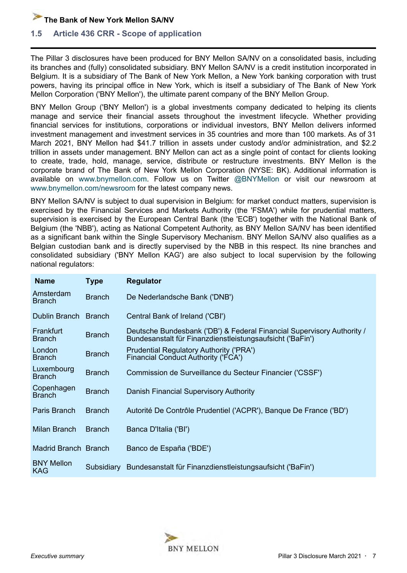<span id="page-6-0"></span>

#### **1.5 Article 436 CRR - Scope of application**

The Pillar 3 disclosures have been produced for BNY Mellon SA/NV on a consolidated basis, including its branches and (fully) consolidated subsidiary. BNY Mellon SA/NV is a credit institution incorporated in Belgium. It is a subsidiary of The Bank of New York Mellon, a New York banking corporation with trust powers, having its principal office in New York, which is itself a subsidiary of The Bank of New York Mellon Corporation ('BNY Mellon'), the ultimate parent company of the BNY Mellon Group.

BNY Mellon Group ('BNY Mellon') is a global investments company dedicated to helping its clients manage and service their financial assets throughout the investment lifecycle. Whether providing financial services for institutions, corporations or individual investors, BNY Mellon delivers informed investment management and investment services in 35 countries and more than 100 markets. As of 31 March 2021, BNY Mellon had \$41.7 trillion in assets under custody and/or administration, and \$2.2 trillion in assets under management. BNY Mellon can act as a single point of contact for clients looking to create, trade, hold, manage, service, distribute or restructure investments. BNY Mellon is the corporate brand of The Bank of New York Mellon Corporation (NYSE: BK). Additional information is available on www.bnymellon.com. Follow us on Twitter @BNYMellon or visit our newsroom at www.bnymellon.com/newsroom for the latest company news.

BNY Mellon SA/NV is subject to dual supervision in Belgium: for market conduct matters, supervision is exercised by the Financial Services and Markets Authority (the 'FSMA') while for prudential matters, supervision is exercised by the European Central Bank (the 'ECB') together with the National Bank of Belgium (the 'NBB'), acting as National Competent Authority, as BNY Mellon SA/NV has been identified as a significant bank within the Single Supervisory Mechanism. BNY Mellon SA/NV also qualifies as a Belgian custodian bank and is directly supervised by the NBB in this respect. Its nine branches and consolidated subsidiary ('BNY Mellon KAG') are also subject to local supervision by the following national regulators:

| <b>Name</b>                     | <b>Type</b>   | <b>Regulator</b>                                                                                                                    |
|---------------------------------|---------------|-------------------------------------------------------------------------------------------------------------------------------------|
| Amsterdam<br><b>Branch</b>      | <b>Branch</b> | De Nederlandsche Bank ('DNB')                                                                                                       |
| Dublin Branch Branch            |               | Central Bank of Ireland ('CBI')                                                                                                     |
| Frankfurt<br><b>Branch</b>      | <b>Branch</b> | Deutsche Bundesbank ('DB') & Federal Financial Supervisory Authority /<br>Bundesanstalt für Finanzdienstleistungsaufsicht ('BaFin') |
| London<br><b>Branch</b>         | <b>Branch</b> | <b>Prudential Regulatory Authority ('PRA')</b><br><b>Financial Conduct Authority ('FCA')</b>                                        |
| Luxembourg<br><b>Branch</b>     | <b>Branch</b> | Commission de Surveillance du Secteur Financier ('CSSF')                                                                            |
| Copenhagen<br><b>Branch</b>     | <b>Branch</b> | Danish Financial Supervisory Authority                                                                                              |
| Paris Branch                    | <b>Branch</b> | Autorité De Contrôle Prudentiel ('ACPR'), Banque De France ('BD')                                                                   |
| Milan Branch                    | <b>Branch</b> | Banca D'Italia ('BI')                                                                                                               |
| Madrid Branch Branch            |               | Banco de España ('BDE')                                                                                                             |
| <b>BNY Mellon</b><br><b>KAG</b> | Subsidiary    | Bundesanstalt für Finanzdienstleistungsaufsicht ('BaFin')                                                                           |

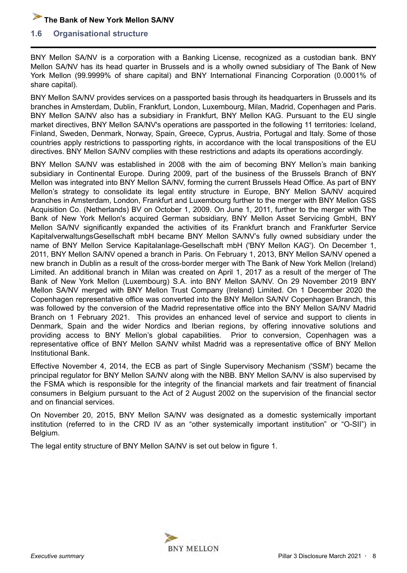#### **1.6 Organisational structure**

BNY Mellon SA/NV is a corporation with a Banking License, recognized as a custodian bank. BNY Mellon SA/NV has its head quarter in Brussels and is a wholly owned subsidiary of The Bank of New York Mellon (99.9999% of share capital) and BNY International Financing Corporation (0.0001% of share capital).

BNY Mellon SA/NV provides services on a passported basis through its headquarters in Brussels and its branches in Amsterdam, Dublin, Frankfurt, London, Luxembourg, Milan, Madrid, Copenhagen and Paris. BNY Mellon SA/NV also has a subsidiary in Frankfurt, BNY Mellon KAG. Pursuant to the EU single market directives, BNY Mellon SA/NV's operations are passported in the following 11 territories: Iceland, Finland, Sweden, Denmark, Norway, Spain, Greece, Cyprus, Austria, Portugal and Italy. Some of those countries apply restrictions to passporting rights, in accordance with the local transpositions of the EU directives. BNY Mellon SA/NV complies with these restrictions and adapts its operations accordingly.

BNY Mellon SA/NV was established in 2008 with the aim of becoming BNY Mellon's main banking subsidiary in Continental Europe. During 2009, part of the business of the Brussels Branch of BNY Mellon was integrated into BNY Mellon SA/NV, forming the current Brussels Head Office. As part of BNY Mellon's strategy to consolidate its legal entity structure in Europe, BNY Mellon SA/NV acquired branches in Amsterdam, London, Frankfurt and Luxembourg further to the merger with BNY Mellon GSS Acquisition Co. (Netherlands) BV on October 1, 2009. On June 1, 2011, further to the merger with The Bank of New York Mellon's acquired German subsidiary, BNY Mellon Asset Servicing GmbH, BNY Mellon SA/NV significantly expanded the activities of its Frankfurt branch and Frankfurter Service KapitalverwaltungsGesellschaft mbH became BNY Mellon SA/NV's fully owned subsidiary under the name of BNY Mellon Service Kapitalanlage-Gesellschaft mbH ('BNY Mellon KAG'). On December 1, 2011, BNY Mellon SA/NV opened a branch in Paris. On February 1, 2013, BNY Mellon SA/NV opened a new branch in Dublin as a result of the cross-border merger with The Bank of New York Mellon (Ireland) Limited. An additional branch in Milan was created on April 1, 2017 as a result of the merger of The Bank of New York Mellon (Luxembourg) S.A. into BNY Mellon SA/NV. On 29 November 2019 BNY Mellon SA/NV merged with BNY Mellon Trust Company (Ireland) Limited. On 1 December 2020 the Copenhagen representative office was converted into the BNY Mellon SA/NV Copenhagen Branch, this was followed by the conversion of the Madrid representative office into the BNY Mellon SA/NV Madrid Branch on 1 February 2021. This provides an enhanced level of service and support to clients in Denmark, Spain and the wider Nordics and Iberian regions, by offering innovative solutions and providing access to BNY Mellon's global capabilities. Prior to conversion, Copenhagen was a representative office of BNY Mellon SA/NV whilst Madrid was a representative office of BNY Mellon Institutional Bank.

Effective November 4, 2014, the ECB as part of Single Supervisory Mechanism ('SSM') became the principal regulator for BNY Mellon SA/NV along with the NBB. BNY Mellon SA/NV is also supervised by the FSMA which is responsible for the integrity of the financial markets and fair treatment of financial consumers in Belgium pursuant to the Act of 2 August 2002 on the supervision of the financial sector and on financial services.

On November 20, 2015, BNY Mellon SA/NV was designated as a domestic systemically important institution (referred to in the CRD IV as an "other systemically important institution" or "O-SII") in Belgium.

The legal entity structure of BNY Mellon SA/NV is set out below in figure 1.

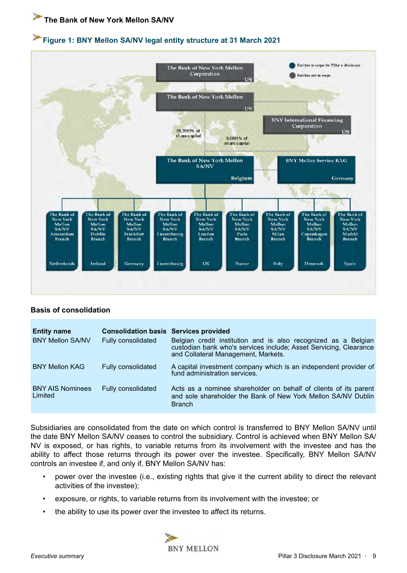#### **Figure 1: BNY Mellon SA/NV legal entity structure at 31 March 2021**



#### **Basis of consolidation**

| <b>Entity name</b><br><b>BNY Mellon SA/NV</b> | <b>Consolidation basis Services provided</b><br>Fully consolidated | Belgian credit institution and is also recognized as a Belgian<br>custodian bank who's services include; Asset Servicing, Clearance<br>and Collateral Management, Markets. |
|-----------------------------------------------|--------------------------------------------------------------------|----------------------------------------------------------------------------------------------------------------------------------------------------------------------------|
| <b>BNY Mellon KAG</b>                         | Fully consolidated                                                 | A capital investment company which is an independent provider of<br>fund administration services.                                                                          |
| <b>BNY AIS Nominees</b><br>Limited            | Fully consolidated                                                 | Acts as a nominee shareholder on behalf of clients of its parent<br>and sole shareholder the Bank of New York Mellon SA/NV Dublin<br><b>Branch</b>                         |

Subsidiaries are consolidated from the date on which control is transferred to BNY Mellon SA/NV until the date BNY Mellon SA/NV ceases to control the subsidiary. Control is achieved when BNY Mellon SA/ NV is exposed, or has rights, to variable returns from its involvement with the investee and has the ability to affect those returns through its power over the investee. Specifically, BNY Mellon SA/NV controls an investee if, and only if, BNY Mellon SA/NV has:

- power over the investee (i.e., existing rights that give it the current ability to direct the relevant activities of the investee);
- exposure, or rights, to variable returns from its involvement with the investee; or
- the ability to use its power over the investee to affect its returns.

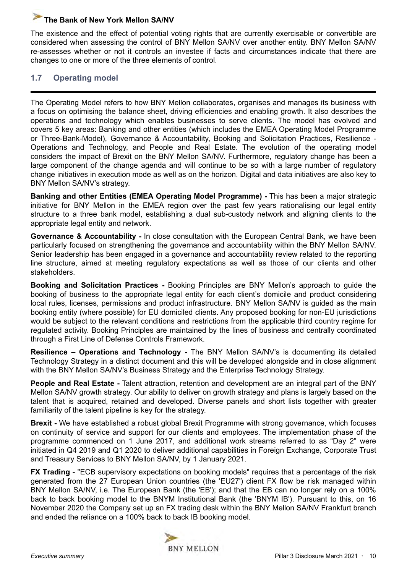<span id="page-9-0"></span>The existence and the effect of potential voting rights that are currently exercisable or convertible are considered when assessing the control of BNY Mellon SA/NV over another entity. BNY Mellon SA/NV re-assesses whether or not it controls an investee if facts and circumstances indicate that there are changes to one or more of the three elements of control.

## **1.7 Operating model**

The Operating Model refers to how BNY Mellon collaborates, organises and manages its business with a focus on optimising the balance sheet, driving efficiencies and enabling growth. It also describes the operations and technology which enables businesses to serve clients. The model has evolved and covers 5 key areas: Banking and other entities (which includes the EMEA Operating Model Programme or Three-Bank-Model), Governance & Accountability, Booking and Solicitation Practices, Resilience - Operations and Technology, and People and Real Estate. The evolution of the operating model considers the impact of Brexit on the BNY Mellon SA/NV. Furthermore, regulatory change has been a large component of the change agenda and will continue to be so with a large number of regulatory change initiatives in execution mode as well as on the horizon. Digital and data initiatives are also key to BNY Mellon SA/NV's strategy.

**Banking and other Entities (EMEA Operating Model Programme) -** This has been a major strategic initiative for BNY Mellon in the EMEA region over the past few years rationalising our legal entity structure to a three bank model, establishing a dual sub-custody network and aligning clients to the appropriate legal entity and network.

**Governance & Accountability -** In close consultation with the European Central Bank, we have been particularly focused on strengthening the governance and accountability within the BNY Mellon SA/NV. Senior leadership has been engaged in a governance and accountability review related to the reporting line structure, aimed at meeting regulatory expectations as well as those of our clients and other stakeholders.

**Booking and Solicitation Practices -** Booking Principles are BNY Mellon's approach to guide the booking of business to the appropriate legal entity for each client's domicile and product considering local rules, licenses, permissions and product infrastructure. BNY Mellon SA/NV is guided as the main booking entity (where possible) for EU domiciled clients. Any proposed booking for non-EU jurisdictions would be subject to the relevant conditions and restrictions from the applicable third country regime for regulated activity. Booking Principles are maintained by the lines of business and centrally coordinated through a First Line of Defense Controls Framework.

**Resilience – Operations and Technology -** The BNY Mellon SA/NV's is documenting its detailed Technology Strategy in a distinct document and this will be developed alongside and in close alignment with the BNY Mellon SA/NV's Business Strategy and the Enterprise Technology Strategy.

**People and Real Estate -** Talent attraction, retention and development are an integral part of the BNY Mellon SA/NV growth strategy. Our ability to deliver on growth strategy and plans is largely based on the talent that is acquired, retained and developed. Diverse panels and short lists together with greater familiarity of the talent pipeline is key for the strategy.

**Brexit -** We have established a robust global Brexit Programme with strong governance, which focuses on continuity of service and support for our clients and employees. The implementation phase of the programme commenced on 1 June 2017, and additional work streams referred to as "Day 2" were initiated in Q4 2019 and Q1 2020 to deliver additional capabilities in Foreign Exchange, Corporate Trust and Treasury Services to BNY Mellon SA/NV, by 1 January 2021.

**FX Trading** - "ECB supervisory expectations on booking models" requires that a percentage of the risk generated from the 27 European Union countries (the 'EU27') client FX flow be risk managed within BNY Mellon SA/NV, i.e. The European Bank (the 'EB'); and that the EB can no longer rely on a 100% back to back booking model to the BNYM Institutional Bank (the 'BNYM IB'). Pursuant to this, on 16 November 2020 the Company set up an FX trading desk within the BNY Mellon SA/NV Frankfurt branch and ended the reliance on a 100% back to back IB booking model.

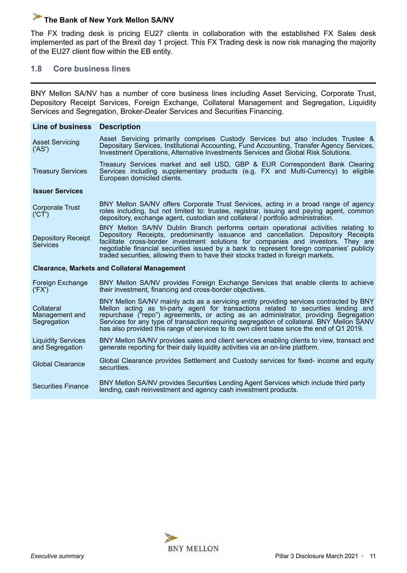<span id="page-10-0"></span>The FX trading desk is pricing EU27 clients in collaboration with the established FX Sales desk implemented as part of the Brexit day 1 project. This FX Trading desk is now risk managing the majority of the EU27 client flow within the EB entity.

#### **1.8 Core business lines**

BNY Mellon SA/NV has a number of core business lines including Asset Servicing, Corporate Trust, Depository Receipt Services, Foreign Exchange, Collateral Management and Segregation, Liquidity Services and Segregation, Broker-Dealer Services and Securities Financing.

| Line of business Description                                                                                                                                                                                                                                                                                                                                                                                                                                                                   |                                                                                                                                                                                                                                                                                                                                                                                                                                                                  |  |  |  |  |
|------------------------------------------------------------------------------------------------------------------------------------------------------------------------------------------------------------------------------------------------------------------------------------------------------------------------------------------------------------------------------------------------------------------------------------------------------------------------------------------------|------------------------------------------------------------------------------------------------------------------------------------------------------------------------------------------------------------------------------------------------------------------------------------------------------------------------------------------------------------------------------------------------------------------------------------------------------------------|--|--|--|--|
| <b>Asset Servicing</b><br>('AS')                                                                                                                                                                                                                                                                                                                                                                                                                                                               | Asset Servicing primarily comprises Custody Services but also includes Trustee &<br>Depositary Services, Institutional Accounting, Fund Accounting, Transfer Agency Services,<br>Investment Operations, Alternative Investments Services and Global Risk Solutions.                                                                                                                                                                                              |  |  |  |  |
| <b>Treasury Services</b>                                                                                                                                                                                                                                                                                                                                                                                                                                                                       | Treasury Services market and sell USD, GBP & EUR Correspondent Bank Clearing<br>Services including supplementary products (e.g. FX and Multi-Currency) to eligible<br>European domiciled clients.                                                                                                                                                                                                                                                                |  |  |  |  |
| <b>Issuer Services</b>                                                                                                                                                                                                                                                                                                                                                                                                                                                                         |                                                                                                                                                                                                                                                                                                                                                                                                                                                                  |  |  |  |  |
| <b>Corporate Trust</b><br>(CT)                                                                                                                                                                                                                                                                                                                                                                                                                                                                 | BNY Mellon SA/NV offers Corporate Trust Services, acting in a broad range of agency<br>roles including, but not limited to: trustee, registrar, issuing and paying agent, common<br>depository, exchange agent, custodian and collateral / portfolio administration.                                                                                                                                                                                             |  |  |  |  |
| BNY Mellon SA/NV Dublin Branch performs certain operational activities relating to<br>Depository Receipts, predominantly issuance and cancellation. Depository Receipts<br><b>Depository Receipt</b><br>facilitate cross-border investment solutions for companies and investors. They are<br><b>Services</b><br>negotiable financial securities issued by a bank to represent foreign companies' publicly<br>traded securities, allowing them to have their stocks traded in foreign markets. |                                                                                                                                                                                                                                                                                                                                                                                                                                                                  |  |  |  |  |
|                                                                                                                                                                                                                                                                                                                                                                                                                                                                                                | <b>Clearance, Markets and Collateral Management</b>                                                                                                                                                                                                                                                                                                                                                                                                              |  |  |  |  |
| Foreign Exchange<br>('FX')                                                                                                                                                                                                                                                                                                                                                                                                                                                                     | BNY Mellon SA/NV provides Foreign Exchange Services that enable clients to achieve<br>their investment, financing and cross-border objectives.                                                                                                                                                                                                                                                                                                                   |  |  |  |  |
| Collateral<br>Management and<br>Segregation                                                                                                                                                                                                                                                                                                                                                                                                                                                    | BNY Mellon SA/NV mainly acts as a servicing entity providing services contracted by BNY<br>Mellon acting as tri-party agent for transactions related to securities lending and<br>repurchase ("repo") agreements, or acting as an administrator, providing Segregation<br>Services for any type of transaction requiring segregation of collateral. BNY Mellon SANV<br>has also provided this range of services to its own client base since the end of Q1 2019. |  |  |  |  |
| <b>Liquidity Services</b><br>and Segregation                                                                                                                                                                                                                                                                                                                                                                                                                                                   | BNY Mellon SA/NV provides sales and client services enabling clients to view, transact and<br>generate reporting for their daily liquidity activities via an on-line platform.                                                                                                                                                                                                                                                                                   |  |  |  |  |
| <b>Global Clearance</b>                                                                                                                                                                                                                                                                                                                                                                                                                                                                        | Global Clearance provides Settlement and Custody services for fixed- income and equity<br>securities.                                                                                                                                                                                                                                                                                                                                                            |  |  |  |  |
| <b>Securities Finance</b>                                                                                                                                                                                                                                                                                                                                                                                                                                                                      | BNY Mellon SA/NV provides Securities Lending Agent Services which include third party<br>lending, cash reinvestment and agency cash investment products.                                                                                                                                                                                                                                                                                                         |  |  |  |  |

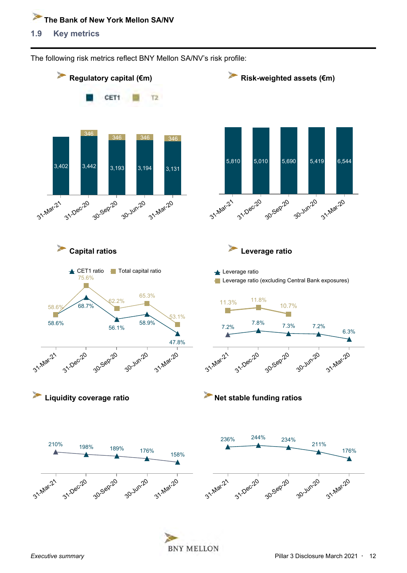<span id="page-11-0"></span>**1.9 Key metrics** 



The following risk metrics reflect BNY Mellon SA/NV's risk profile: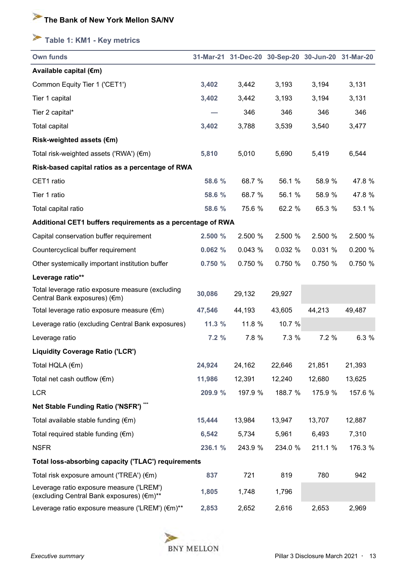# <span id="page-12-0"></span>**Table 1: KM1 - Key metrics**

| <b>Own funds</b>                                                                      |         | 31-Mar-21 31-Dec-20 30-Sep-20 30-Jun-20 31-Mar-20 |         |         |         |
|---------------------------------------------------------------------------------------|---------|---------------------------------------------------|---------|---------|---------|
| Available capital (€m)                                                                |         |                                                   |         |         |         |
| Common Equity Tier 1 ('CET1')                                                         | 3,402   | 3,442                                             | 3,193   | 3,194   | 3,131   |
| Tier 1 capital                                                                        | 3,402   | 3,442                                             | 3,193   | 3,194   | 3,131   |
| Tier 2 capital*                                                                       |         | 346                                               | 346     | 346     | 346     |
| <b>Total capital</b>                                                                  | 3,402   | 3,788                                             | 3,539   | 3,540   | 3,477   |
| Risk-weighted assets (€m)                                                             |         |                                                   |         |         |         |
| Total risk-weighted assets ('RWA') (€m)                                               | 5,810   | 5,010                                             | 5,690   | 5,419   | 6,544   |
| Risk-based capital ratios as a percentage of RWA                                      |         |                                                   |         |         |         |
| CET1 ratio                                                                            | 58.6 %  | 68.7 %                                            | 56.1 %  | 58.9 %  | 47.8 %  |
| Tier 1 ratio                                                                          | 58.6 %  | 68.7 %                                            | 56.1 %  | 58.9 %  | 47.8 %  |
| Total capital ratio                                                                   | 58.6 %  | 75.6 %                                            | 62.2 %  | 65.3 %  | 53.1 %  |
| Additional CET1 buffers requirements as a percentage of RWA                           |         |                                                   |         |         |         |
| Capital conservation buffer requirement                                               | 2.500 % | 2.500 %                                           | 2.500 % | 2.500 % | 2.500 % |
| Countercyclical buffer requirement                                                    | 0.062%  | 0.043%                                            | 0.032 % | 0.031 % | 0.200 % |
| Other systemically important institution buffer                                       | 0.750%  | 0.750 %                                           | 0.750 % | 0.750 % | 0.750 % |
| Leverage ratio**                                                                      |         |                                                   |         |         |         |
| Total leverage ratio exposure measure (excluding<br>Central Bank exposures) (€m)      | 30,086  | 29,132                                            | 29,927  |         |         |
| Total leverage ratio exposure measure (€m)                                            | 47,546  | 44,193                                            | 43,605  | 44,213  | 49,487  |
| Leverage ratio (excluding Central Bank exposures)                                     | 11.3%   | 11.8 %                                            | 10.7 %  |         |         |
| Leverage ratio                                                                        | 7.2%    | 7.8 %                                             | 7.3 %   | 7.2%    | 6.3 %   |
| <b>Liquidity Coverage Ratio ('LCR')</b>                                               |         |                                                   |         |         |         |
| Total HQLA (€m)                                                                       | 24,924  | 24,162                                            | 22,646  | 21,851  | 21,393  |
| Total net cash outflow $(\epsilon m)$                                                 | 11,986  | 12,391                                            | 12,240  | 12,680  | 13,625  |
| <b>LCR</b>                                                                            | 209.9 % | 197.9 %                                           | 188.7 % | 175.9 % | 157.6 % |
| Net Stable Funding Ratio ('NSFR') ***                                                 |         |                                                   |         |         |         |
| Total available stable funding (€m)                                                   | 15,444  | 13,984                                            | 13,947  | 13,707  | 12,887  |
| Total required stable funding $(\epsilon m)$                                          | 6,542   | 5,734                                             | 5,961   | 6,493   | 7,310   |
| <b>NSFR</b>                                                                           | 236.1 % | 243.9 %                                           | 234.0 % | 211.1 % | 176.3 % |
| Total loss-absorbing capacity ('TLAC') requirements                                   |         |                                                   |         |         |         |
| Total risk exposure amount ('TREA') (€m)                                              | 837     | 721                                               | 819     | 780     | 942     |
| Leverage ratio exposure measure ('LREM')<br>(excluding Central Bank exposures) (€m)** | 1,805   | 1,748                                             | 1,796   |         |         |
| Leverage ratio exposure measure ('LREM') (€m)**                                       | 2,853   | 2,652                                             | 2,616   | 2,653   | 2,969   |

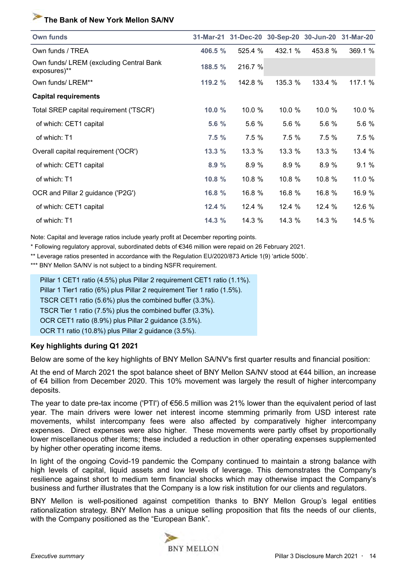| <b>Own funds</b>                                        |           |         | 31-Mar-21 31-Dec-20 30-Sep-20 30-Jun-20 31-Mar-20 |         |         |
|---------------------------------------------------------|-----------|---------|---------------------------------------------------|---------|---------|
| Own funds / TREA                                        | 406.5 %   | 525.4 % | 432.1 %                                           | 453.8 % | 369.1 % |
| Own funds/ LREM (excluding Central Bank<br>exposures)** | 188.5 %   | 216.7 % |                                                   |         |         |
| Own funds/ LREM**                                       | 119.2 $%$ | 142.8 % | 135.3 %                                           | 133.4 % | 117.1 % |
| <b>Capital requirements</b>                             |           |         |                                                   |         |         |
| Total SREP capital requirement ('TSCR')                 | 10.0 %    | 10.0 %  | 10.0%                                             | 10.0 %  | 10.0 %  |
| of which: CET1 capital                                  | 5.6 %     | 5.6 %   | 5.6 %                                             | 5.6 %   | 5.6 %   |
| of which: T1                                            | 7.5%      | 7.5%    | 7.5%                                              | 7.5%    | 7.5 %   |
| Overall capital requirement ('OCR')                     | 13.3 %    | 13.3 %  | 13.3 %                                            | 13.3 %  | 13.4 %  |
| of which: CET1 capital                                  | 8.9%      | 8.9 %   | 8.9 %                                             | 8.9 %   | 9.1%    |
| of which: T1                                            | 10.8 %    | 10.8 %  | 10.8 %                                            | 10.8 %  | 11.0 %  |
| OCR and Pillar 2 guidance ('P2G')                       | 16.8 %    | 16.8 %  | 16.8 %                                            | 16.8 %  | 16.9 %  |
| of which: CET1 capital                                  | 12.4 %    | 12.4%   | 12.4%                                             | 12.4 %  | 12.6 %  |
| of which: T1                                            | 14.3 %    | 14.3%   | 14.3 %                                            | 14.3 %  | 14.5 %  |

Note: Capital and leverage ratios include yearly profit at December reporting points.

\* Following regulatory approval, subordinated debts of €346 million were repaid on 26 February 2021.

\*\* Leverage ratios presented in accordance with the Regulation EU/2020/873 Article 1(9) 'article 500b'.

\*\*\* BNY Mellon SA/NV is not subject to a binding NSFR requirement.

| Pillar 1 CET1 ratio (4.5%) plus Pillar 2 requirement CET1 ratio (1.1%).  |
|--------------------------------------------------------------------------|
| Pillar 1 Tier1 ratio (6%) plus Pillar 2 requirement Tier 1 ratio (1.5%). |
| TSCR CET1 ratio (5.6%) plus the combined buffer (3.3%).                  |
| TSCR Tier 1 ratio (7.5%) plus the combined buffer (3.3%).                |
| OCR CET1 ratio (8.9%) plus Pillar 2 guidance (3.5%).                     |
| OCR T1 ratio (10.8%) plus Pillar 2 guidance (3.5%).                      |

#### **Key highlights during Q1 2021**

Below are some of the key highlights of BNY Mellon SA/NV's first quarter results and financial position:

At the end of March 2021 the spot balance sheet of BNY Mellon SA/NV stood at €44 billion, an increase of €4 billion from December 2020. This 10% movement was largely the result of higher intercompany deposits.

The year to date pre-tax income ('PTI') of €56.5 million was 21% lower than the equivalent period of last year. The main drivers were lower net interest income stemming primarily from USD interest rate movements, whilst intercompany fees were also affected by comparatively higher intercompany expenses. Direct expenses were also higher. These movements were partly offset by proportionally lower miscellaneous other items; these included a reduction in other operating expenses supplemented by higher other operating income items.

In light of the ongoing Covid-19 pandemic the Company continued to maintain a strong balance with high levels of capital, liquid assets and low levels of leverage. This demonstrates the Company's resilience against short to medium term financial shocks which may otherwise impact the Company's business and further illustrates that the Company is a low risk institution for our clients and regulators.

BNY Mellon is well-positioned against competition thanks to BNY Mellon Group's legal entities rationalization strategy. BNY Mellon has a unique selling proposition that fits the needs of our clients, with the Company positioned as the "European Bank".

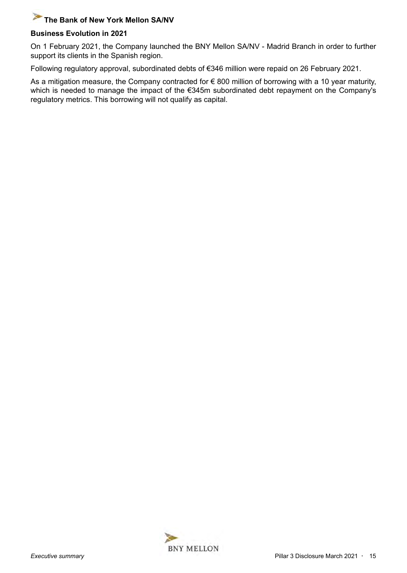## **Business Evolution in 2021**

On 1 February 2021, the Company launched the BNY Mellon SA/NV - Madrid Branch in order to further support its clients in the Spanish region.

Following regulatory approval, subordinated debts of €346 million were repaid on 26 February 2021.

As a mitigation measure, the Company contracted for  $\epsilon$  800 million of borrowing with a 10 year maturity, which is needed to manage the impact of the €345m subordinated debt repayment on the Company's regulatory metrics. This borrowing will not qualify as capital.

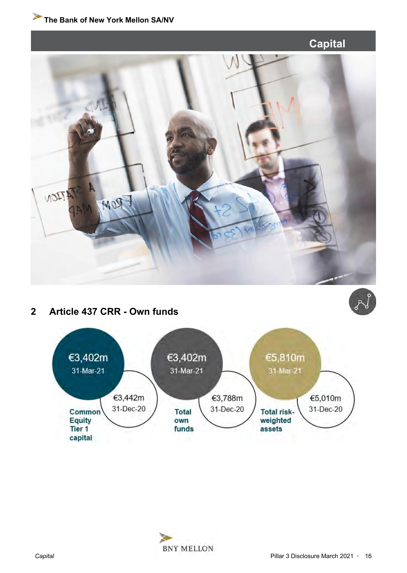<span id="page-15-0"></span>



z<br>Po



# **2 Article 437 CRR - Own funds**



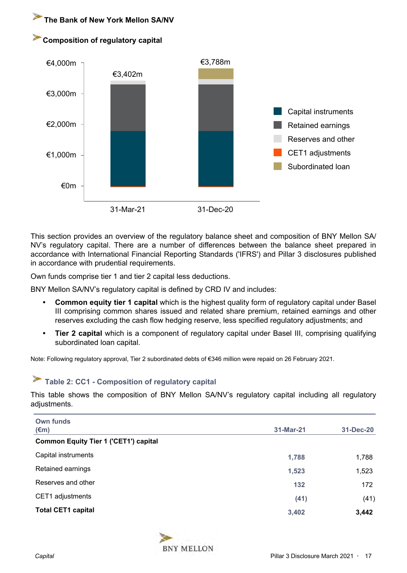<span id="page-16-0"></span>



This section provides an overview of the regulatory balance sheet and composition of BNY Mellon SA/ NV's regulatory capital. There are a number of differences between the balance sheet prepared in accordance with International Financial Reporting Standards ('IFRS') and Pillar 3 disclosures published in accordance with prudential requirements.

Own funds comprise tier 1 and tier 2 capital less deductions.

BNY Mellon SA/NV's regulatory capital is defined by CRD IV and includes:

- **Common equity tier 1 capital** which is the highest quality form of regulatory capital under Basel III comprising common shares issued and related share premium, retained earnings and other reserves excluding the cash flow hedging reserve, less specified regulatory adjustments; and
- **Tier 2 capital** which is a component of regulatory capital under Basel III, comprising qualifying subordinated loan capital.

Note: Following regulatory approval, Tier 2 subordinated debts of €346 million were repaid on 26 February 2021.

# **Table 2: CC1 - Composition of regulatory capital**

This table shows the composition of BNY Mellon SA/NV's regulatory capital including all regulatory adjustments.

| Own funds                                    |           |           |
|----------------------------------------------|-----------|-----------|
| $(\epsilon m)$                               | 31-Mar-21 | 31-Dec-20 |
| <b>Common Equity Tier 1 ('CET1') capital</b> |           |           |
| Capital instruments                          | 1,788     | 1,788     |
| Retained earnings                            | 1,523     | 1,523     |
| Reserves and other                           | 132       | 172       |
| CET1 adjustments                             | (41)      | (41)      |
| <b>Total CET1 capital</b>                    | 3,402     | 3,442     |

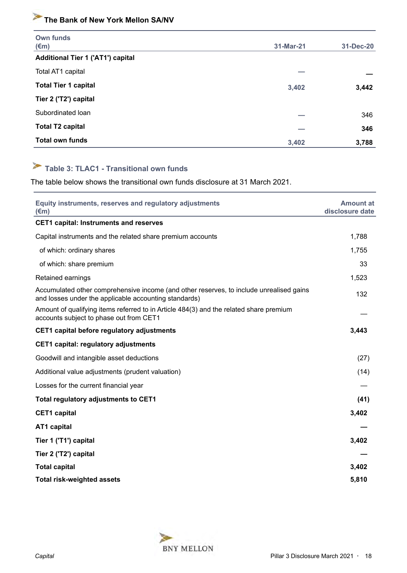<span id="page-17-0"></span>

| Own funds<br>$(\epsilon m)$              | 31-Mar-21 | 31-Dec-20 |
|------------------------------------------|-----------|-----------|
| <b>Additional Tier 1 ('AT1') capital</b> |           |           |
| Total AT1 capital                        |           |           |
| <b>Total Tier 1 capital</b>              | 3,402     | 3,442     |
| Tier 2 ('T2') capital                    |           |           |
| Subordinated Ioan                        |           | 346       |
| <b>Total T2 capital</b>                  |           | 346       |
| <b>Total own funds</b>                   | 3,402     | 3,788     |

# **Table 3: TLAC1 - Transitional own funds**

The table below shows the transitional own funds disclosure at 31 March 2021.

| Equity instruments, reserves and regulatory adjustments<br>$(\epsilon m)$                                                                        | <b>Amount at</b><br>disclosure date |
|--------------------------------------------------------------------------------------------------------------------------------------------------|-------------------------------------|
| <b>CET1 capital: Instruments and reserves</b>                                                                                                    |                                     |
| Capital instruments and the related share premium accounts                                                                                       | 1,788                               |
| of which: ordinary shares                                                                                                                        | 1,755                               |
| of which: share premium                                                                                                                          | 33                                  |
| Retained earnings                                                                                                                                | 1,523                               |
| Accumulated other comprehensive income (and other reserves, to include unrealised gains<br>and losses under the applicable accounting standards) | 132                                 |
| Amount of qualifying items referred to in Article 484(3) and the related share premium<br>accounts subject to phase out from CET1                |                                     |
| CET1 capital before regulatory adjustments                                                                                                       | 3,443                               |
| <b>CET1 capital: regulatory adjustments</b>                                                                                                      |                                     |
| Goodwill and intangible asset deductions                                                                                                         | (27)                                |
| Additional value adjustments (prudent valuation)                                                                                                 | (14)                                |
| Losses for the current financial year                                                                                                            |                                     |
| Total regulatory adjustments to CET1                                                                                                             | (41)                                |
| <b>CET1</b> capital                                                                                                                              | 3,402                               |
| <b>AT1 capital</b>                                                                                                                               |                                     |
| Tier 1 ('T1') capital                                                                                                                            | 3,402                               |
| Tier 2 ('T2') capital                                                                                                                            |                                     |
| <b>Total capital</b>                                                                                                                             | 3,402                               |
| <b>Total risk-weighted assets</b>                                                                                                                | 5,810                               |

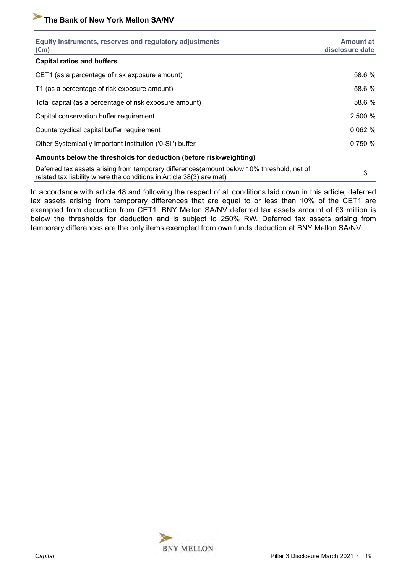| Equity instruments, reserves and regulatory adjustments<br>$(\epsilon m)$                                                                                          | <b>Amount at</b><br>disclosure date |
|--------------------------------------------------------------------------------------------------------------------------------------------------------------------|-------------------------------------|
| <b>Capital ratios and buffers</b>                                                                                                                                  |                                     |
| CET1 (as a percentage of risk exposure amount)                                                                                                                     | 58.6 %                              |
| T1 (as a percentage of risk exposure amount)                                                                                                                       | 58.6 %                              |
| Total capital (as a percentage of risk exposure amount)                                                                                                            | 58.6 %                              |
| Capital conservation buffer requirement                                                                                                                            | 2.500 %                             |
| Countercyclical capital buffer requirement                                                                                                                         | 0.062%                              |
| Other Systemically Important Institution ('0-SII') buffer                                                                                                          | 0.750 %                             |
| Amounts below the thresholds for deduction (before risk-weighting)                                                                                                 |                                     |
| Deferred tax assets arising from temporary differences (amount below 10% threshold, net of<br>related tax liability where the conditions in Article 38(3) are met) | 3                                   |

In accordance with article 48 and following the respect of all conditions laid down in this article, deferred tax assets arising from temporary differences that are equal to or less than 10% of the CET1 are exempted from deduction from CET1. BNY Mellon SA/NV deferred tax assets amount of €3 million is below the thresholds for deduction and is subject to 250% RW. Deferred tax assets arising from temporary differences are the only items exempted from own funds deduction at BNY Mellon SA/NV.

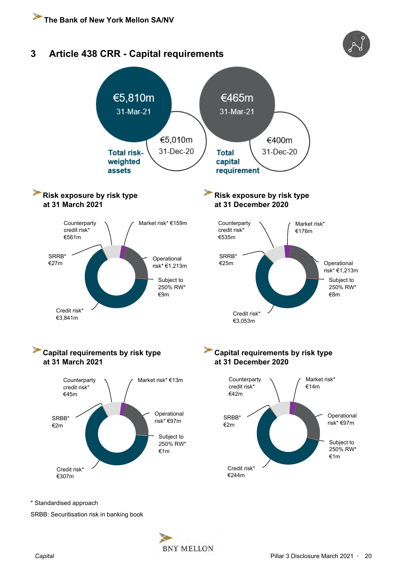<span id="page-19-0"></span>

\* Standardised approach

SRBB: Securitisation risk in banking book

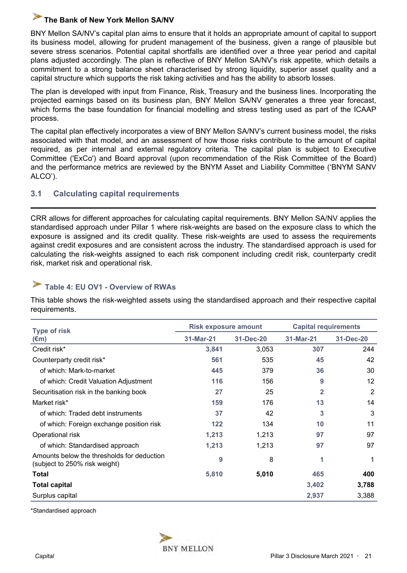<span id="page-20-0"></span>BNY Mellon SA/NV's capital plan aims to ensure that it holds an appropriate amount of capital to support its business model, allowing for prudent management of the business, given a range of plausible but severe stress scenarios. Potential capital shortfalls are identified over a three year period and capital plans adjusted accordingly. The plan is reflective of BNY Mellon SA/NV's risk appetite, which details a commitment to a strong balance sheet characterised by strong liquidity, superior asset quality and a capital structure which supports the risk taking activities and has the ability to absorb losses.

The plan is developed with input from Finance, Risk, Treasury and the business lines. Incorporating the projected earnings based on its business plan, BNY Mellon SA/NV generates a three year forecast, which forms the base foundation for financial modelling and stress testing used as part of the ICAAP process.

The capital plan effectively incorporates a view of BNY Mellon SA/NV's current business model, the risks associated with that model, and an assessment of how those risks contribute to the amount of capital required, as per internal and external regulatory criteria. The capital plan is subject to Executive Committee ('ExCo') and Board approval (upon recommendation of the Risk Committee of the Board) and the performance metrics are reviewed by the BNYM Asset and Liability Committee ('BNYM SANV ALCO').

## **3.1 Calculating capital requirements**

CRR allows for different approaches for calculating capital requirements. BNY Mellon SA/NV applies the standardised approach under Pillar 1 where risk-weights are based on the exposure class to which the exposure is assigned and its credit quality. These risk-weights are used to assess the requirements against credit exposures and are consistent across the industry. The standardised approach is used for calculating the risk-weights assigned to each risk component including credit risk, counterparty credit risk, market risk and operational risk.

# **Table 4: EU OV1 - Overview of RWAs**

This table shows the risk-weighted assets using the standardised approach and their respective capital requirements.

| <b>Type of risk</b>                                                         | <b>Risk exposure amount</b> |           |                | <b>Capital requirements</b> |  |  |
|-----------------------------------------------------------------------------|-----------------------------|-----------|----------------|-----------------------------|--|--|
| $(\epsilon m)$                                                              | 31-Mar-21                   | 31-Dec-20 | 31-Mar-21      | 31-Dec-20                   |  |  |
| Credit risk*                                                                | 3,841                       | 3,053     | 307            | 244                         |  |  |
| Counterparty credit risk*                                                   | 561                         | 535       | 45             | 42                          |  |  |
| of which: Mark-to-market                                                    | 445                         | 379       | 36             | 30                          |  |  |
| of which: Credit Valuation Adjustment                                       | 116                         | 156       | 9              | 12 <sup>2</sup>             |  |  |
| Securitisation risk in the banking book                                     | 27                          | 25        | $\overline{2}$ | $\overline{2}$              |  |  |
| Market risk*                                                                | 159                         | 176       | 13             | 14                          |  |  |
| of which: Traded debt instruments                                           | 37                          | 42        | 3              | 3                           |  |  |
| of which: Foreign exchange position risk                                    | 122                         | 134       | 10             | 11                          |  |  |
| Operational risk                                                            | 1,213                       | 1,213     | 97             | 97                          |  |  |
| of which: Standardised approach                                             | 1,213                       | 1,213     | 97             | 97                          |  |  |
| Amounts below the thresholds for deduction<br>(subject to 250% risk weight) | 9                           | 8         |                | 1                           |  |  |
| Total                                                                       | 5,810                       | 5,010     | 465            | 400                         |  |  |
| <b>Total capital</b>                                                        |                             |           | 3,402          | 3,788                       |  |  |
| Surplus capital                                                             |                             |           | 2,937          | 3,388                       |  |  |

\*Standardised approach

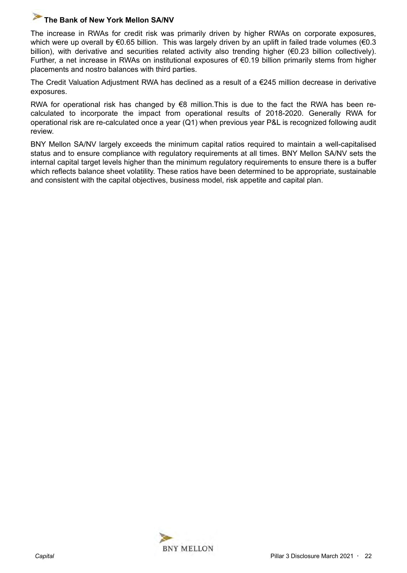The increase in RWAs for credit risk was primarily driven by higher RWAs on corporate exposures, which were up overall by €0.65 billion. This was largely driven by an uplift in failed trade volumes (€0.3 billion), with derivative and securities related activity also trending higher (€0.23 billion collectively). Further, a net increase in RWAs on institutional exposures of €0.19 billion primarily stems from higher placements and nostro balances with third parties.

The Credit Valuation Adjustment RWA has declined as a result of a €245 million decrease in derivative exposures.

RWA for operational risk has changed by  $€8$  million. This is due to the fact the RWA has been recalculated to incorporate the impact from operational results of 2018-2020. Generally RWA for operational risk are re-calculated once a year (Q1) when previous year P&L is recognized following audit review.

BNY Mellon SA/NV largely exceeds the minimum capital ratios required to maintain a well-capitalised status and to ensure compliance with regulatory requirements at all times. BNY Mellon SA/NV sets the internal capital target levels higher than the minimum regulatory requirements to ensure there is a buffer which reflects balance sheet volatility. These ratios have been determined to be appropriate, sustainable and consistent with the capital objectives, business model, risk appetite and capital plan.

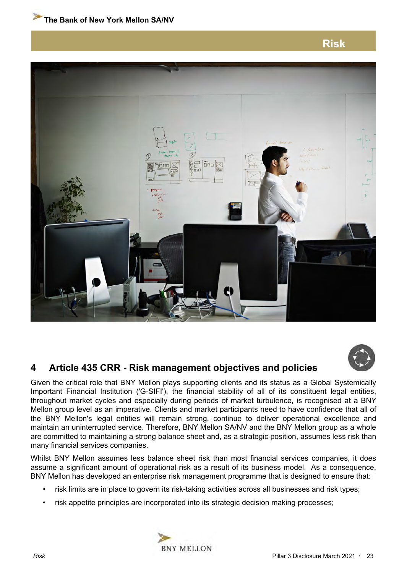**Risk**

<span id="page-22-0"></span>



# **4 Article 435 CRR - Risk management objectives and policies**

Given the critical role that BNY Mellon plays supporting clients and its status as a Global Systemically Important Financial Institution ('G-SIFI'), the financial stability of all of its constituent legal entities, throughout market cycles and especially during periods of market turbulence, is recognised at a BNY Mellon group level as an imperative. Clients and market participants need to have confidence that all of the BNY Mellon's legal entities will remain strong, continue to deliver operational excellence and maintain an uninterrupted service. Therefore, BNY Mellon SA/NV and the BNY Mellon group as a whole are committed to maintaining a strong balance sheet and, as a strategic position, assumes less risk than many financial services companies.

Whilst BNY Mellon assumes less balance sheet risk than most financial services companies, it does assume a significant amount of operational risk as a result of its business model. As a consequence, BNY Mellon has developed an enterprise risk management programme that is designed to ensure that:

- risk limits are in place to govern its risk-taking activities across all businesses and risk types;
- risk appetite principles are incorporated into its strategic decision making processes;

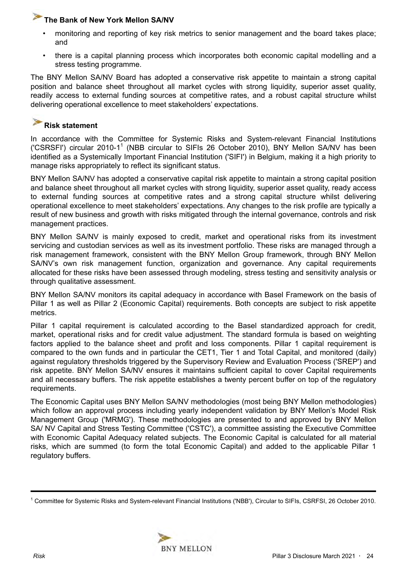- monitoring and reporting of key risk metrics to senior management and the board takes place; and
- there is a capital planning process which incorporates both economic capital modelling and a stress testing programme.

The BNY Mellon SA/NV Board has adopted a conservative risk appetite to maintain a strong capital position and balance sheet throughout all market cycles with strong liquidity, superior asset quality, readily access to external funding sources at competitive rates, and a robust capital structure whilst delivering operational excellence to meet stakeholders' expectations.

#### P **Risk statement**

In accordance with the Committee for Systemic Risks and System-relevant Financial Institutions ('CSRSFI') circular 2010-1<sup>1</sup> (NBB circular to SIFIs 26 October 2010), BNY Mellon SA/NV has been identified as a Systemically Important Financial Institution ('SIFI') in Belgium, making it a high priority to manage risks appropriately to reflect its significant status.

BNY Mellon SA/NV has adopted a conservative capital risk appetite to maintain a strong capital position and balance sheet throughout all market cycles with strong liquidity, superior asset quality, ready access to external funding sources at competitive rates and a strong capital structure whilst delivering operational excellence to meet stakeholders' expectations. Any changes to the risk profile are typically a result of new business and growth with risks mitigated through the internal governance, controls and risk management practices.

BNY Mellon SA/NV is mainly exposed to credit, market and operational risks from its investment servicing and custodian services as well as its investment portfolio. These risks are managed through a risk management framework, consistent with the BNY Mellon Group framework, through BNY Mellon SA/NV's own risk management function, organization and governance. Any capital requirements allocated for these risks have been assessed through modeling, stress testing and sensitivity analysis or through qualitative assessment.

BNY Mellon SA/NV monitors its capital adequacy in accordance with Basel Framework on the basis of Pillar 1 as well as Pillar 2 (Economic Capital) requirements. Both concepts are subject to risk appetite metrics.

Pillar 1 capital requirement is calculated according to the Basel standardized approach for credit, market, operational risks and for credit value adjustment. The standard formula is based on weighting factors applied to the balance sheet and profit and loss components. Pillar 1 capital requirement is compared to the own funds and in particular the CET1, Tier 1 and Total Capital, and monitored (daily) against regulatory thresholds triggered by the Supervisory Review and Evaluation Process ('SREP') and risk appetite. BNY Mellon SA/NV ensures it maintains sufficient capital to cover Capital requirements and all necessary buffers. The risk appetite establishes a twenty percent buffer on top of the regulatory requirements.

The Economic Capital uses BNY Mellon SA/NV methodologies (most being BNY Mellon methodologies) which follow an approval process including yearly independent validation by BNY Mellon's Model Risk Management Group ('MRMG'). These methodologies are presented to and approved by BNY Mellon SA/ NV Capital and Stress Testing Committee ('CSTC'), a committee assisting the Executive Committee with Economic Capital Adequacy related subjects. The Economic Capital is calculated for all material risks, which are summed (to form the total Economic Capital) and added to the applicable Pillar 1 regulatory buffers.

<sup>1</sup> Committee for Systemic Risks and System-relevant Financial Institutions ('NBB'), Circular to SIFIs, CSRFSI, 26 October 2010.

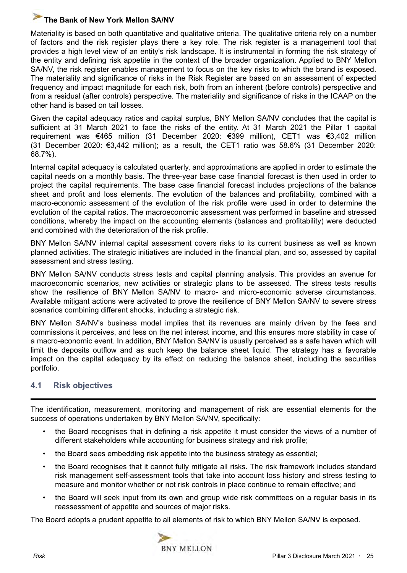<span id="page-24-0"></span>Materiality is based on both quantitative and qualitative criteria. The qualitative criteria rely on a number of factors and the risk register plays there a key role. The risk register is a management tool that provides a high level view of an entity's risk landscape. It is instrumental in forming the risk strategy of the entity and defining risk appetite in the context of the broader organization. Applied to BNY Mellon SA/NV, the risk register enables management to focus on the key risks to which the brand is exposed. The materiality and significance of risks in the Risk Register are based on an assessment of expected frequency and impact magnitude for each risk, both from an inherent (before controls) perspective and from a residual (after controls) perspective. The materiality and significance of risks in the ICAAP on the other hand is based on tail losses.

Given the capital adequacy ratios and capital surplus, BNY Mellon SA/NV concludes that the capital is sufficient at 31 March 2021 to face the risks of the entity. At 31 March 2021 the Pillar 1 capital requirement was €465 million (31 December 2020: €399 million), CET1 was €3,402 million (31 December 2020: €3,442 million); as a result, the CET1 ratio was 58.6% (31 December 2020: 68.7%).

Internal capital adequacy is calculated quarterly, and approximations are applied in order to estimate the capital needs on a monthly basis. The three-year base case financial forecast is then used in order to project the capital requirements. The base case financial forecast includes projections of the balance sheet and profit and loss elements. The evolution of the balances and profitability, combined with a macro-economic assessment of the evolution of the risk profile were used in order to determine the evolution of the capital ratios. The macroeconomic assessment was performed in baseline and stressed conditions, whereby the impact on the accounting elements (balances and profitability) were deducted and combined with the deterioration of the risk profile.

BNY Mellon SA/NV internal capital assessment covers risks to its current business as well as known planned activities. The strategic initiatives are included in the financial plan, and so, assessed by capital assessment and stress testing.

BNY Mellon SA/NV conducts stress tests and capital planning analysis. This provides an avenue for macroeconomic scenarios, new activities or strategic plans to be assessed. The stress tests results show the resilience of BNY Mellon SA/NV to macro- and micro-economic adverse circumstances. Available mitigant actions were activated to prove the resilience of BNY Mellon SA/NV to severe stress scenarios combining different shocks, including a strategic risk.

BNY Mellon SA/NV's business model implies that its revenues are mainly driven by the fees and commissions it perceives, and less on the net interest income, and this ensures more stability in case of a macro-economic event. In addition, BNY Mellon SA/NV is usually perceived as a safe haven which will limit the deposits outflow and as such keep the balance sheet liquid. The strategy has a favorable impact on the capital adequacy by its effect on reducing the balance sheet, including the securities portfolio.

## **4.1 Risk objectives**

The identification, measurement, monitoring and management of risk are essential elements for the success of operations undertaken by BNY Mellon SA/NV, specifically:

- the Board recognises that in defining a risk appetite it must consider the views of a number of different stakeholders while accounting for business strategy and risk profile;
- the Board sees embedding risk appetite into the business strategy as essential;
- the Board recognises that it cannot fully mitigate all risks. The risk framework includes standard risk management self-assessment tools that take into account loss history and stress testing to measure and monitor whether or not risk controls in place continue to remain effective; and
- the Board will seek input from its own and group wide risk committees on a regular basis in its reassessment of appetite and sources of major risks.

The Board adopts a prudent appetite to all elements of risk to which BNY Mellon SA/NV is exposed.

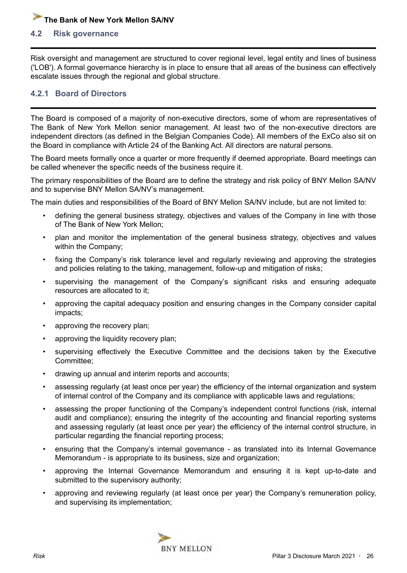#### <span id="page-25-0"></span>**4.2 Risk governance**

Risk oversight and management are structured to cover regional level, legal entity and lines of business ('LOB'). A formal governance hierarchy is in place to ensure that all areas of the business can effectively escalate issues through the regional and global structure.

#### **4.2.1 Board of Directors**

The Board is composed of a majority of non-executive directors, some of whom are representatives of The Bank of New York Mellon senior management. At least two of the non-executive directors are independent directors (as defined in the Belgian Companies Code). All members of the ExCo also sit on the Board in compliance with Article 24 of the Banking Act. All directors are natural persons.

The Board meets formally once a quarter or more frequently if deemed appropriate. Board meetings can be called whenever the specific needs of the business require it.

The primary responsibilities of the Board are to define the strategy and risk policy of BNY Mellon SA/NV and to supervise BNY Mellon SA/NV's management.

The main duties and responsibilities of the Board of BNY Mellon SA/NV include, but are not limited to:

- defining the general business strategy, objectives and values of the Company in line with those of The Bank of New York Mellon;
- plan and monitor the implementation of the general business strategy, objectives and values within the Company;
- fixing the Company's risk tolerance level and regularly reviewing and approving the strategies and policies relating to the taking, management, follow-up and mitigation of risks;
- supervising the management of the Company's significant risks and ensuring adequate resources are allocated to it;
- approving the capital adequacy position and ensuring changes in the Company consider capital impacts;
- approving the recovery plan;
- approving the liquidity recovery plan;
- supervising effectively the Executive Committee and the decisions taken by the Executive Committee;
- drawing up annual and interim reports and accounts;
- assessing regularly (at least once per year) the efficiency of the internal organization and system of internal control of the Company and its compliance with applicable laws and regulations;
- assessing the proper functioning of the Company's independent control functions (risk, internal audit and compliance); ensuring the integrity of the accounting and financial reporting systems and assessing regularly (at least once per year) the efficiency of the internal control structure, in particular regarding the financial reporting process;
- ensuring that the Company's internal governance as translated into its Internal Governance Memorandum - is appropriate to its business, size and organization;
- approving the Internal Governance Memorandum and ensuring it is kept up-to-date and submitted to the supervisory authority;
- approving and reviewing regularly (at least once per year) the Company's remuneration policy, and supervising its implementation;

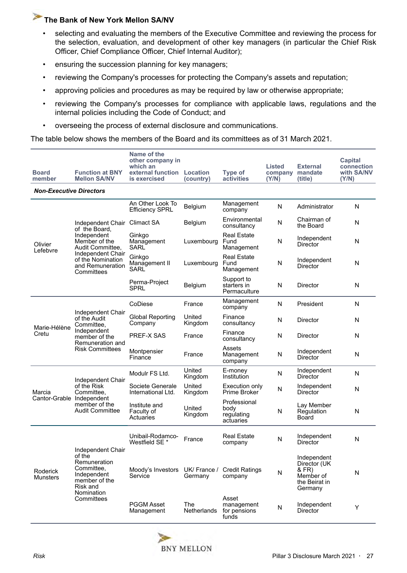- selecting and evaluating the members of the Executive Committee and reviewing the process for the selection, evaluation, and development of other key managers (in particular the Chief Risk Officer, Chief Compliance Officer, Chief Internal Auditor);
- ensuring the succession planning for key managers;
- reviewing the Company's processes for protecting the Company's assets and reputation;
- approving policies and procedures as may be required by law or otherwise appropriate;
- reviewing the Company's processes for compliance with applicable laws, regulations and the internal policies including the Code of Conduct; and
- overseeing the process of external disclosure and communications.

The table below shows the members of the Board and its committees as of 31 March 2021.

| <b>Board</b><br>member         | <b>Function at BNY</b><br><b>Mellon SA/NV</b>                                                                                 | Name of the<br>other company in<br>which an<br>external function Location<br>is exercised | (country)          | <b>Type of</b><br>activities                    | <b>Listed</b><br>company<br>(Y/N) | <b>External</b><br>mandate<br>(title)                                         | Capital<br>connection<br>with SA/NV<br>(Y/N) |
|--------------------------------|-------------------------------------------------------------------------------------------------------------------------------|-------------------------------------------------------------------------------------------|--------------------|-------------------------------------------------|-----------------------------------|-------------------------------------------------------------------------------|----------------------------------------------|
| <b>Non-Executive Directors</b> |                                                                                                                               |                                                                                           |                    |                                                 |                                   |                                                                               |                                              |
|                                |                                                                                                                               | An Other Look To<br><b>Efficiency SPRL</b>                                                | Belgium            | Management<br>company                           | N                                 | Administrator                                                                 | N                                            |
|                                | Independent Chair<br>of the Board.                                                                                            | Climact SA                                                                                | Belgium            | Environmental<br>consultancy                    | N                                 | Chairman of<br>the Board                                                      | N                                            |
| Olivier<br>Lefebvre            | Independent<br>Member of the<br>Audit Committee,                                                                              | Ginkgo<br>Management<br><b>SARL</b>                                                       | Luxembourg         | <b>Real Estate</b><br>Fund<br>Management        | N                                 | Independent<br>Director                                                       | N                                            |
|                                | Independent Chair<br>of the Nomination<br>and Remuneration<br>Committees                                                      | Ginkgo<br>Management II<br>SARL                                                           | Luxembourg         | <b>Real Estate</b><br>Fund<br>Management        | N                                 | Independent<br>Director                                                       | N                                            |
|                                |                                                                                                                               | Perma-Project<br><b>SPRL</b>                                                              | Belgium            | Support to<br>starters in<br>Permaculture       | N                                 | Director                                                                      | N                                            |
|                                |                                                                                                                               | CoDiese                                                                                   | France             | Management<br>company                           | N                                 | President                                                                     | N                                            |
|                                | Independent Chair<br>of the Audit<br>Committee,<br>Independent<br>member of the<br>Remuneration and<br><b>Risk Committees</b> | <b>Global Reporting</b><br>Company                                                        | United<br>Kingdom  | Finance<br>consultancy                          | N                                 | <b>Director</b>                                                               | N                                            |
| Marie-Hélène<br>Cretu          |                                                                                                                               | PREF-X SAS                                                                                | France             | Finance<br>consultancy                          | N                                 | Director                                                                      | N                                            |
|                                |                                                                                                                               | Montpensier<br>Finance                                                                    | France             | Assets<br>Management<br>company                 | N                                 | Independent<br>Director                                                       | N                                            |
|                                | Independent Chair                                                                                                             | Modulr FS Ltd.                                                                            | United<br>Kingdom  | E-money<br>Institution                          | N                                 | Independent<br><b>Director</b>                                                | N                                            |
| Marcia                         | of the Risk<br>Committee,                                                                                                     | Societe Generale<br>International Ltd.                                                    | United<br>Kingdom  | Execution only<br><b>Prime Broker</b>           | N                                 | Independent<br>Director                                                       | N                                            |
| Cantor-Grable Independent      | member of the<br><b>Audit Committee</b>                                                                                       | Institute and<br>Faculty of<br>Actuaries                                                  | United<br>Kingdom  | Professional<br>body<br>regulating<br>actuaries | N                                 | Lay Member<br>Regulation<br>Board                                             | N                                            |
|                                | Independent Chair                                                                                                             | Unibail-Rodamco-<br>Westfield SE <sup>*</sup>                                             | France             | <b>Real Estate</b><br>company                   | N                                 | Independent<br>Director                                                       | N                                            |
| Roderick<br>Munsters           | of the<br>Remuneration<br>Committee.<br>Independent<br>member of the<br>Risk and<br>Nomination                                | Moody's Investors UK/ France /<br>Service                                                 | Germany            | <b>Credit Ratings</b><br>company                | N                                 | Independent<br>Director (UK<br>& FR)<br>Member of<br>the Beirat in<br>Germany | N                                            |
|                                | Committees                                                                                                                    | <b>PGGM Asset</b><br>Management                                                           | The<br>Netherlands | Asset<br>management<br>for pensions<br>funds    | N                                 | Independent<br>Director                                                       | Υ                                            |

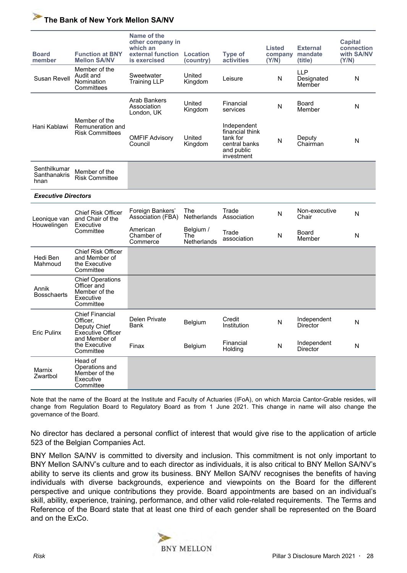| <b>Board</b><br>member               | <b>Function at BNY</b><br><b>Mellon SA/NV</b>                                     | Name of the<br>other company in<br>which an<br>external function<br>is exercised | Location<br>(country)           | <b>Type of</b><br>activities                                                            | <b>Listed</b><br>company<br>(Y/N) | <b>External</b><br>mandate<br>(title) | <b>Capital</b><br>connection<br>with SA/NV<br>(Y/N) |
|--------------------------------------|-----------------------------------------------------------------------------------|----------------------------------------------------------------------------------|---------------------------------|-----------------------------------------------------------------------------------------|-----------------------------------|---------------------------------------|-----------------------------------------------------|
| Susan Revell                         | Member of the<br>Audit and<br>Nomination<br>Committees                            | Sweetwater<br><b>Training LLP</b>                                                | United<br>Kingdom               | Leisure                                                                                 | N                                 | <b>LLP</b><br>Designated<br>Member    | N                                                   |
|                                      | Member of the                                                                     | Arab Bankers<br>Association<br>London, UK                                        | United<br>Kingdom               | Financial<br>services                                                                   | N                                 | Board<br>Member                       | N                                                   |
| Hani Kablawi                         | Remuneration and<br><b>Risk Committees</b>                                        | <b>OMFIF Advisory</b><br>Council                                                 | United<br>Kingdom               | Independent<br>financial think<br>tank for<br>central banks<br>and public<br>investment | N                                 | Deputy<br>Chairman                    | N                                                   |
| Senthilkumar<br>Santhanakris<br>hnan | Member of the<br><b>Risk Committee</b>                                            |                                                                                  |                                 |                                                                                         |                                   |                                       |                                                     |
| <b>Executive Directors</b>           |                                                                                   |                                                                                  |                                 |                                                                                         |                                   |                                       |                                                     |
| Leonique van<br>Houwelingen          | <b>Chief Risk Officer</b><br>and Chair of the<br>Executive                        | Foreign Bankers'<br>Association (FBA)                                            | The<br>Netherlands              | Trade<br>Association                                                                    | N                                 | Non-executive<br>Chair                | N                                                   |
|                                      | Committee                                                                         | American<br>Chamber of<br>Commerce                                               | Belgium /<br>The<br>Netherlands | Trade<br>association                                                                    | N                                 | Board<br>Member                       | N                                                   |
| Hedi Ben<br>Mahmoud                  | <b>Chief Risk Officer</b><br>and Member of<br>the Executive<br>Committee          |                                                                                  |                                 |                                                                                         |                                   |                                       |                                                     |
| Annik<br><b>Bosschaerts</b>          | <b>Chief Operations</b><br>Officer and<br>Member of the<br>Executive<br>Committee |                                                                                  |                                 |                                                                                         |                                   |                                       |                                                     |
| <b>Eric Pulinx</b>                   | <b>Chief Financial</b><br>Officer,<br>Deputy Chief<br><b>Executive Officer</b>    | <b>Delen Private</b><br>Bank                                                     | <b>Belgium</b>                  | Credit<br>Institution                                                                   | N                                 | Independent<br>Director               | N                                                   |
|                                      | and Member of<br>the Executive<br>Committee                                       | Finax                                                                            | Belgium                         | Financial<br>Holding                                                                    | N                                 | Independent<br>Director               | ${\sf N}$                                           |
| Marnix<br>Zwartbol                   | Head of<br>Operations and<br>Member of the<br>Executive<br>Committee              |                                                                                  |                                 |                                                                                         |                                   |                                       |                                                     |

Note that the name of the Board at the Institute and Faculty of Actuaries (IFoA), on which Marcia Cantor-Grable resides, will change from Regulation Board to Regulatory Board as from 1 June 2021. This change in name will also change the governance of the Board.

No director has declared a personal conflict of interest that would give rise to the application of article 523 of the Belgian Companies Act.

BNY Mellon SA/NV is committed to diversity and inclusion. This commitment is not only important to BNY Mellon SA/NV's culture and to each director as individuals, it is also critical to BNY Mellon SA/NV's ability to serve its clients and grow its business. BNY Mellon SA/NV recognises the benefits of having individuals with diverse backgrounds, experience and viewpoints on the Board for the different perspective and unique contributions they provide. Board appointments are based on an individual's skill, ability, experience, training, performance, and other valid role-related requirements. The Terms and Reference of the Board state that at least one third of each gender shall be represented on the Board and on the ExCo.

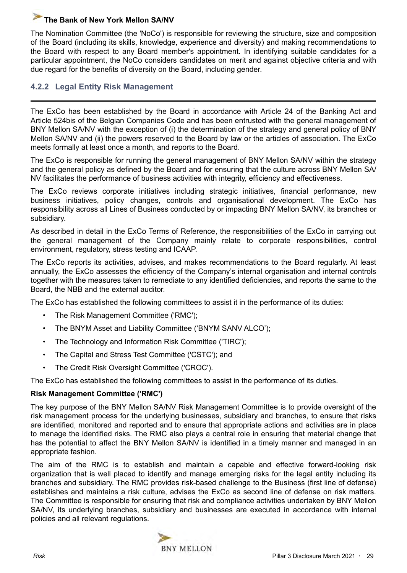<span id="page-28-0"></span>The Nomination Committee (the 'NoCo') is responsible for reviewing the structure, size and composition of the Board (including its skills, knowledge, experience and diversity) and making recommendations to the Board with respect to any Board member's appointment. In identifying suitable candidates for a particular appointment, the NoCo considers candidates on merit and against objective criteria and with due regard for the benefits of diversity on the Board, including gender.

## **4.2.2 Legal Entity Risk Management**

The ExCo has been established by the Board in accordance with Article 24 of the Banking Act and Article 524bis of the Belgian Companies Code and has been entrusted with the general management of BNY Mellon SA/NV with the exception of (i) the determination of the strategy and general policy of BNY Mellon SA/NV and (ii) the powers reserved to the Board by law or the articles of association. The ExCo meets formally at least once a month, and reports to the Board.

The ExCo is responsible for running the general management of BNY Mellon SA/NV within the strategy and the general policy as defined by the Board and for ensuring that the culture across BNY Mellon SA/ NV facilitates the performance of business activities with integrity, efficiency and effectiveness.

The ExCo reviews corporate initiatives including strategic initiatives, financial performance, new business initiatives, policy changes, controls and organisational development. The ExCo has responsibility across all Lines of Business conducted by or impacting BNY Mellon SA/NV, its branches or subsidiary.

As described in detail in the ExCo Terms of Reference, the responsibilities of the ExCo in carrying out the general management of the Company mainly relate to corporate responsibilities, control environment, regulatory, stress testing and ICAAP.

The ExCo reports its activities, advises, and makes recommendations to the Board regularly. At least annually, the ExCo assesses the efficiency of the Company's internal organisation and internal controls together with the measures taken to remediate to any identified deficiencies, and reports the same to the Board, the NBB and the external auditor.

The ExCo has established the following committees to assist it in the performance of its duties:

- The Risk Management Committee ('RMC');
- The BNYM Asset and Liability Committee ('BNYM SANV ALCO');
- The Technology and Information Risk Committee ('TIRC');
- The Capital and Stress Test Committee ('CSTC'); and
- The Credit Risk Oversight Committee ('CROC').

The ExCo has established the following committees to assist in the performance of its duties.

#### **Risk Management Committee ('RMC')**

The key purpose of the BNY Mellon SA/NV Risk Management Committee is to provide oversight of the risk management process for the underlying businesses, subsidiary and branches, to ensure that risks are identified, monitored and reported and to ensure that appropriate actions and activities are in place to manage the identified risks. The RMC also plays a central role in ensuring that material change that has the potential to affect the BNY Mellon SA/NV is identified in a timely manner and managed in an appropriate fashion.

The aim of the RMC is to establish and maintain a capable and effective forward-looking risk organization that is well placed to identify and manage emerging risks for the legal entity including its branches and subsidiary. The RMC provides risk-based challenge to the Business (first line of defense) establishes and maintains a risk culture, advises the ExCo as second line of defense on risk matters. The Committee is responsible for ensuring that risk and compliance activities undertaken by BNY Mellon SA/NV, its underlying branches, subsidiary and businesses are executed in accordance with internal policies and all relevant regulations.

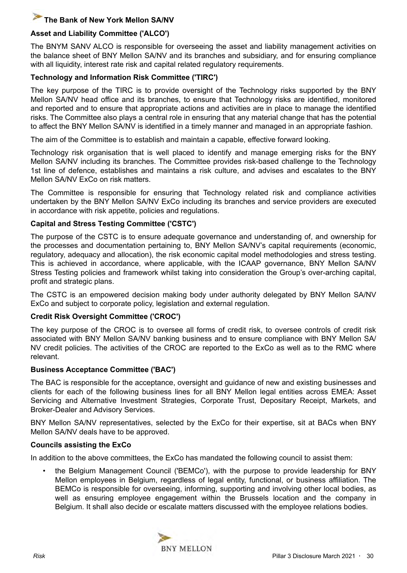## **Asset and Liability Committee ('ALCO')**

The BNYM SANV ALCO is responsible for overseeing the asset and liability management activities on the balance sheet of BNY Mellon SA/NV and its branches and subsidiary, and for ensuring compliance with all liquidity, interest rate risk and capital related regulatory requirements.

#### **Technology and Information Risk Committee ('TIRC')**

The key purpose of the TIRC is to provide oversight of the Technology risks supported by the BNY Mellon SA/NV head office and its branches, to ensure that Technology risks are identified, monitored and reported and to ensure that appropriate actions and activities are in place to manage the identified risks. The Committee also plays a central role in ensuring that any material change that has the potential to affect the BNY Mellon SA/NV is identified in a timely manner and managed in an appropriate fashion.

The aim of the Committee is to establish and maintain a capable, effective forward looking.

Technology risk organisation that is well placed to identify and manage emerging risks for the BNY Mellon SA/NV including its branches. The Committee provides risk-based challenge to the Technology 1st line of defence, establishes and maintains a risk culture, and advises and escalates to the BNY Mellon SA/NV ExCo on risk matters.

The Committee is responsible for ensuring that Technology related risk and compliance activities undertaken by the BNY Mellon SA/NV ExCo including its branches and service providers are executed in accordance with risk appetite, policies and regulations.

#### **Capital and Stress Testing Committee ('CSTC')**

The purpose of the CSTC is to ensure adequate governance and understanding of, and ownership for the processes and documentation pertaining to, BNY Mellon SA/NV's capital requirements (economic, regulatory, adequacy and allocation), the risk economic capital model methodologies and stress testing. This is achieved in accordance, where applicable, with the ICAAP governance, BNY Mellon SA/NV Stress Testing policies and framework whilst taking into consideration the Group's over-arching capital, profit and strategic plans.

The CSTC is an empowered decision making body under authority delegated by BNY Mellon SA/NV ExCo and subject to corporate policy, legislation and external regulation.

#### **Credit Risk Oversight Committee ('CROC')**

The key purpose of the CROC is to oversee all forms of credit risk, to oversee controls of credit risk associated with BNY Mellon SA/NV banking business and to ensure compliance with BNY Mellon SA/ NV credit policies. The activities of the CROC are reported to the ExCo as well as to the RMC where relevant.

#### **Business Acceptance Committee ('BAC')**

The BAC is responsible for the acceptance, oversight and guidance of new and existing businesses and clients for each of the following business lines for all BNY Mellon legal entities across EMEA: Asset Servicing and Alternative Investment Strategies, Corporate Trust, Depositary Receipt, Markets, and Broker-Dealer and Advisory Services.

BNY Mellon SA/NV representatives, selected by the ExCo for their expertise, sit at BACs when BNY Mellon SA/NV deals have to be approved.

#### **Councils assisting the ExCo**

In addition to the above committees, the ExCo has mandated the following council to assist them:

• the Belgium Management Council ('BEMCo'), with the purpose to provide leadership for BNY Mellon employees in Belgium, regardless of legal entity, functional, or business affiliation. The BEMCo is responsible for overseeing, informing, supporting and involving other local bodies, as well as ensuring employee engagement within the Brussels location and the company in Belgium. It shall also decide or escalate matters discussed with the employee relations bodies.

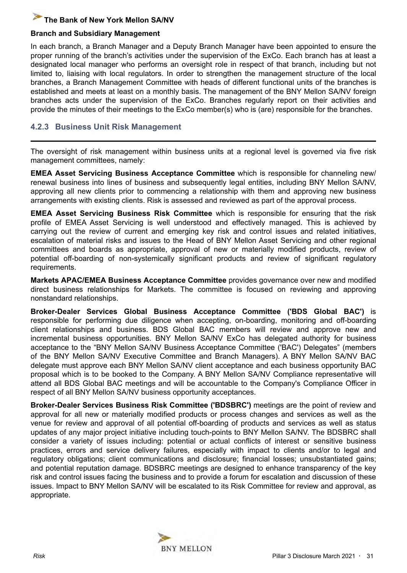#### **Branch and Subsidiary Management**

In each branch, a Branch Manager and a Deputy Branch Manager have been appointed to ensure the proper running of the branch's activities under the supervision of the ExCo. Each branch has at least a designated local manager who performs an oversight role in respect of that branch, including but not limited to, liaising with local regulators. In order to strengthen the management structure of the local branches, a Branch Management Committee with heads of different functional units of the branches is established and meets at least on a monthly basis. The management of the BNY Mellon SA/NV foreign branches acts under the supervision of the ExCo. Branches regularly report on their activities and provide the minutes of their meetings to the ExCo member(s) who is (are) responsible for the branches.

## **4.2.3 Business Unit Risk Management**

The oversight of risk management within business units at a regional level is governed via five risk management committees, namely:

**EMEA Asset Servicing Business Acceptance Committee** which is responsible for channeling new/ renewal business into lines of business and subsequently legal entities, including BNY Mellon SA/NV, approving all new clients prior to commencing a relationship with them and approving new business arrangements with existing clients. Risk is assessed and reviewed as part of the approval process.

**EMEA Asset Servicing Business Risk Committee** which is responsible for ensuring that the risk profile of EMEA Asset Servicing is well understood and effectively managed. This is achieved by carrying out the review of current and emerging key risk and control issues and related initiatives, escalation of material risks and issues to the Head of BNY Mellon Asset Servicing and other regional committees and boards as appropriate, approval of new or materially modified products, review of potential off-boarding of non-systemically significant products and review of significant regulatory requirements.

**Markets APAC/EMEA Business Acceptance Committee** provides governance over new and modified direct business relationships for Markets. The committee is focused on reviewing and approving nonstandard relationships.

**Broker-Dealer Services Global Business Acceptance Committee ('BDS Global BAC')** is responsible for performing due diligence when accepting, on-boarding, monitoring and off-boarding client relationships and business. BDS Global BAC members will review and approve new and incremental business opportunities. BNY Mellon SA/NV ExCo has delegated authority for business acceptance to the "BNY Mellon SA/NV Business Acceptance Committee ('BAC') Delegates" (members of the BNY Mellon SA/NV Executive Committee and Branch Managers). A BNY Mellon SA/NV BAC delegate must approve each BNY Mellon SA/NV client acceptance and each business opportunity BAC proposal which is to be booked to the Company. A BNY Mellon SA/NV Compliance representative will attend all BDS Global BAC meetings and will be accountable to the Company's Compliance Officer in respect of all BNY Mellon SA/NV business opportunity acceptances.

**Broker-Dealer Services Business Risk Committee ('BDSBRC')** meetings are the point of review and approval for all new or materially modified products or process changes and services as well as the venue for review and approval of all potential off-boarding of products and services as well as status updates of any major project initiative including touch-points to BNY Mellon SA/NV. The BDSBRC shall consider a variety of issues including: potential or actual conflicts of interest or sensitive business practices, errors and service delivery failures, especially with impact to clients and/or to legal and regulatory obligations; client communications and disclosure; financial losses; unsubstantiated gains; and potential reputation damage. BDSBRC meetings are designed to enhance transparency of the key risk and control issues facing the business and to provide a forum for escalation and discussion of these issues. Impact to BNY Mellon SA/NV will be escalated to its Risk Committee for review and approval, as appropriate.

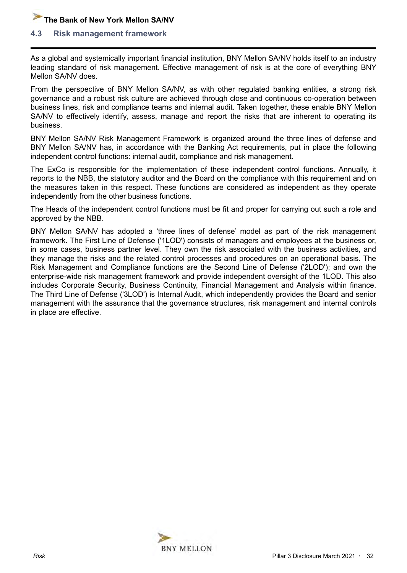#### <span id="page-31-0"></span>**4.3 Risk management framework**

As a global and systemically important financial institution, BNY Mellon SA/NV holds itself to an industry leading standard of risk management. Effective management of risk is at the core of everything BNY Mellon SA/NV does.

From the perspective of BNY Mellon SA/NV, as with other regulated banking entities, a strong risk governance and a robust risk culture are achieved through close and continuous co-operation between business lines, risk and compliance teams and internal audit. Taken together, these enable BNY Mellon SA/NV to effectively identify, assess, manage and report the risks that are inherent to operating its business.

BNY Mellon SA/NV Risk Management Framework is organized around the three lines of defense and BNY Mellon SA/NV has, in accordance with the Banking Act requirements, put in place the following independent control functions: internal audit, compliance and risk management.

The ExCo is responsible for the implementation of these independent control functions. Annually, it reports to the NBB, the statutory auditor and the Board on the compliance with this requirement and on the measures taken in this respect. These functions are considered as independent as they operate independently from the other business functions.

The Heads of the independent control functions must be fit and proper for carrying out such a role and approved by the NBB.

BNY Mellon SA/NV has adopted a 'three lines of defense' model as part of the risk management framework. The First Line of Defense ('1LOD') consists of managers and employees at the business or, in some cases, business partner level. They own the risk associated with the business activities, and they manage the risks and the related control processes and procedures on an operational basis. The Risk Management and Compliance functions are the Second Line of Defense ('2LOD'); and own the enterprise-wide risk management framework and provide independent oversight of the 1LOD. This also includes Corporate Security, Business Continuity, Financial Management and Analysis within finance. The Third Line of Defense ('3LOD') is Internal Audit, which independently provides the Board and senior management with the assurance that the governance structures, risk management and internal controls in place are effective.

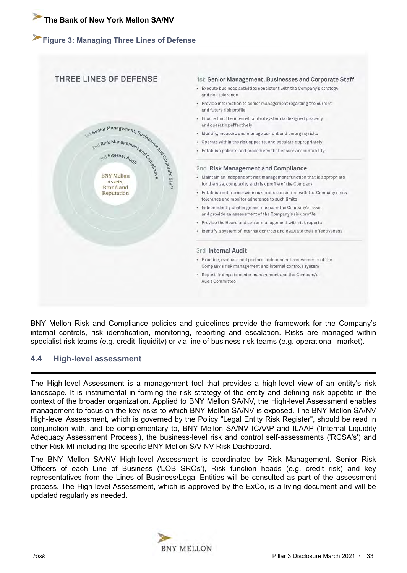# <span id="page-32-0"></span>**Figure 3: Managing Three Lines of Defense**



BNY Mellon Risk and Compliance policies and guidelines provide the framework for the Company's internal controls, risk identification, monitoring, reporting and escalation. Risks are managed within specialist risk teams (e.g. credit, liquidity) or via line of business risk teams (e.g. operational, market).

#### **4.4 High-level assessment**

The High-level Assessment is a management tool that provides a high-level view of an entity's risk landscape. It is instrumental in forming the risk strategy of the entity and defining risk appetite in the context of the broader organization. Applied to BNY Mellon SA/NV, the High-level Assessment enables management to focus on the key risks to which BNY Mellon SA/NV is exposed. The BNY Mellon SA/NV High-level Assessment, which is governed by the Policy "Legal Entity Risk Register", should be read in conjunction with, and be complementary to, BNY Mellon SA/NV ICAAP and ILAAP ('Internal Liquidity Adequacy Assessment Process'), the business-level risk and control self-assessments ('RCSA's') and other Risk MI including the specific BNY Mellon SA/ NV Risk Dashboard.

The BNY Mellon SA/NV High-level Assessment is coordinated by Risk Management. Senior Risk Officers of each Line of Business ('LOB SROs'), Risk function heads (e.g. credit risk) and key representatives from the Lines of Business/Legal Entities will be consulted as part of the assessment process. The High-level Assessment, which is approved by the ExCo, is a living document and will be updated regularly as needed.

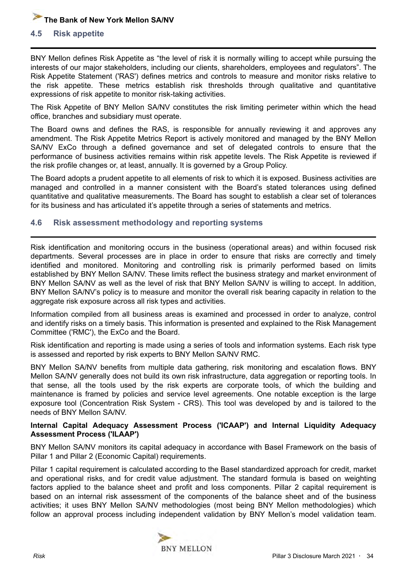#### <span id="page-33-0"></span>**4.5 Risk appetite**

BNY Mellon defines Risk Appetite as "the level of risk it is normally willing to accept while pursuing the interests of our major stakeholders, including our clients, shareholders, employees and regulators". The Risk Appetite Statement ('RAS') defines metrics and controls to measure and monitor risks relative to the risk appetite. These metrics establish risk thresholds through qualitative and quantitative expressions of risk appetite to monitor risk-taking activities.

The Risk Appetite of BNY Mellon SA/NV constitutes the risk limiting perimeter within which the head office, branches and subsidiary must operate.

The Board owns and defines the RAS, is responsible for annually reviewing it and approves any amendment. The Risk Appetite Metrics Report is actively monitored and managed by the BNY Mellon SA/NV ExCo through a defined governance and set of delegated controls to ensure that the performance of business activities remains within risk appetite levels. The Risk Appetite is reviewed if the risk profile changes or, at least, annually. It is governed by a Group Policy.

The Board adopts a prudent appetite to all elements of risk to which it is exposed. Business activities are managed and controlled in a manner consistent with the Board's stated tolerances using defined quantitative and qualitative measurements. The Board has sought to establish a clear set of tolerances for its business and has articulated it's appetite through a series of statements and metrics.

#### **4.6 Risk assessment methodology and reporting systems**

Risk identification and monitoring occurs in the business (operational areas) and within focused risk departments. Several processes are in place in order to ensure that risks are correctly and timely identified and monitored. Monitoring and controlling risk is primarily performed based on limits established by BNY Mellon SA/NV. These limits reflect the business strategy and market environment of BNY Mellon SA/NV as well as the level of risk that BNY Mellon SA/NV is willing to accept. In addition, BNY Mellon SA/NV's policy is to measure and monitor the overall risk bearing capacity in relation to the aggregate risk exposure across all risk types and activities.

Information compiled from all business areas is examined and processed in order to analyze, control and identify risks on a timely basis. This information is presented and explained to the Risk Management Committee ('RMC'), the ExCo and the Board.

Risk identification and reporting is made using a series of tools and information systems. Each risk type is assessed and reported by risk experts to BNY Mellon SA/NV RMC.

BNY Mellon SA/NV benefits from multiple data gathering, risk monitoring and escalation flows. BNY Mellon SA/NV generally does not build its own risk infrastructure, data aggregation or reporting tools. In that sense, all the tools used by the risk experts are corporate tools, of which the building and maintenance is framed by policies and service level agreements. One notable exception is the large exposure tool (Concentration Risk System - CRS). This tool was developed by and is tailored to the needs of BNY Mellon SA/NV.

#### **Internal Capital Adequacy Assessment Process ('ICAAP') and Internal Liquidity Adequacy Assessment Process ('ILAAP')**

BNY Mellon SA/NV monitors its capital adequacy in accordance with Basel Framework on the basis of Pillar 1 and Pillar 2 (Economic Capital) requirements.

Pillar 1 capital requirement is calculated according to the Basel standardized approach for credit, market and operational risks, and for credit value adjustment. The standard formula is based on weighting factors applied to the balance sheet and profit and loss components. Pillar 2 capital requirement is based on an internal risk assessment of the components of the balance sheet and of the business activities; it uses BNY Mellon SA/NV methodologies (most being BNY Mellon methodologies) which follow an approval process including independent validation by BNY Mellon's model validation team.

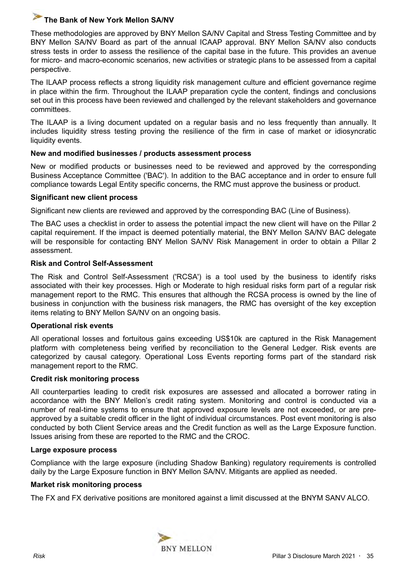These methodologies are approved by BNY Mellon SA/NV Capital and Stress Testing Committee and by BNY Mellon SA/NV Board as part of the annual ICAAP approval. BNY Mellon SA/NV also conducts stress tests in order to assess the resilience of the capital base in the future. This provides an avenue for micro- and macro-economic scenarios, new activities or strategic plans to be assessed from a capital perspective.

The ILAAP process reflects a strong liquidity risk management culture and efficient governance regime in place within the firm. Throughout the ILAAP preparation cycle the content, findings and conclusions set out in this process have been reviewed and challenged by the relevant stakeholders and governance committees.

The ILAAP is a living document updated on a regular basis and no less frequently than annually. It includes liquidity stress testing proving the resilience of the firm in case of market or idiosyncratic liquidity events.

#### **New and modified businesses / products assessment process**

New or modified products or businesses need to be reviewed and approved by the corresponding Business Acceptance Committee ('BAC'). In addition to the BAC acceptance and in order to ensure full compliance towards Legal Entity specific concerns, the RMC must approve the business or product.

#### **Significant new client process**

Significant new clients are reviewed and approved by the corresponding BAC (Line of Business).

The BAC uses a checklist in order to assess the potential impact the new client will have on the Pillar 2 capital requirement. If the impact is deemed potentially material, the BNY Mellon SA/NV BAC delegate will be responsible for contacting BNY Mellon SA/NV Risk Management in order to obtain a Pillar 2 assessment.

#### **Risk and Control Self-Assessment**

The Risk and Control Self-Assessment ('RCSA') is a tool used by the business to identify risks associated with their key processes. High or Moderate to high residual risks form part of a regular risk management report to the RMC. This ensures that although the RCSA process is owned by the line of business in conjunction with the business risk managers, the RMC has oversight of the key exception items relating to BNY Mellon SA/NV on an ongoing basis.

#### **Operational risk events**

All operational losses and fortuitous gains exceeding US\$10k are captured in the Risk Management platform with completeness being verified by reconciliation to the General Ledger. Risk events are categorized by causal category. Operational Loss Events reporting forms part of the standard risk management report to the RMC.

#### **Credit risk monitoring process**

All counterparties leading to credit risk exposures are assessed and allocated a borrower rating in accordance with the BNY Mellon's credit rating system. Monitoring and control is conducted via a number of real-time systems to ensure that approved exposure levels are not exceeded, or are preapproved by a suitable credit officer in the light of individual circumstances. Post event monitoring is also conducted by both Client Service areas and the Credit function as well as the Large Exposure function. Issues arising from these are reported to the RMC and the CROC.

#### **Large exposure process**

Compliance with the large exposure (including Shadow Banking) regulatory requirements is controlled daily by the Large Exposure function in BNY Mellon SA/NV. Mitigants are applied as needed.

#### **Market risk monitoring process**

The FX and FX derivative positions are monitored against a limit discussed at the BNYM SANV ALCO.

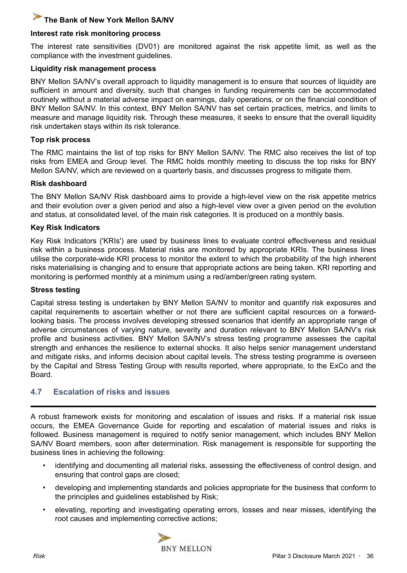#### <span id="page-35-0"></span>**Interest rate risk monitoring process**

The interest rate sensitivities (DV01) are monitored against the risk appetite limit, as well as the compliance with the investment guidelines.

#### **Liquidity risk management process**

BNY Mellon SA/NV's overall approach to liquidity management is to ensure that sources of liquidity are sufficient in amount and diversity, such that changes in funding requirements can be accommodated routinely without a material adverse impact on earnings, daily operations, or on the financial condition of BNY Mellon SA/NV. In this context, BNY Mellon SA/NV has set certain practices, metrics, and limits to measure and manage liquidity risk. Through these measures, it seeks to ensure that the overall liquidity risk undertaken stays within its risk tolerance.

#### **Top risk process**

The RMC maintains the list of top risks for BNY Mellon SA/NV. The RMC also receives the list of top risks from EMEA and Group level. The RMC holds monthly meeting to discuss the top risks for BNY Mellon SA/NV, which are reviewed on a quarterly basis, and discusses progress to mitigate them.

#### **Risk dashboard**

The BNY Mellon SA/NV Risk dashboard aims to provide a high-level view on the risk appetite metrics and their evolution over a given period and also a high-level view over a given period on the evolution and status, at consolidated level, of the main risk categories. It is produced on a monthly basis.

#### **Key Risk Indicators**

Key Risk Indicators ('KRIs') are used by business lines to evaluate control effectiveness and residual risk within a business process. Material risks are monitored by appropriate KRIs. The business lines utilise the corporate-wide KRI process to monitor the extent to which the probability of the high inherent risks materialising is changing and to ensure that appropriate actions are being taken. KRI reporting and monitoring is performed monthly at a minimum using a red/amber/green rating system.

#### **Stress testing**

Capital stress testing is undertaken by BNY Mellon SA/NV to monitor and quantify risk exposures and capital requirements to ascertain whether or not there are sufficient capital resources on a forwardlooking basis. The process involves developing stressed scenarios that identify an appropriate range of adverse circumstances of varying nature, severity and duration relevant to BNY Mellon SA/NV's risk profile and business activities. BNY Mellon SA/NV's stress testing programme assesses the capital strength and enhances the resilience to external shocks. It also helps senior management understand and mitigate risks, and informs decision about capital levels. The stress testing programme is overseen by the Capital and Stress Testing Group with results reported, where appropriate, to the ExCo and the Board.

#### **4.7 Escalation of risks and issues**

A robust framework exists for monitoring and escalation of issues and risks. If a material risk issue occurs, the EMEA Governance Guide for reporting and escalation of material issues and risks is followed. Business management is required to notify senior management, which includes BNY Mellon SA/NV Board members, soon after determination. Risk management is responsible for supporting the business lines in achieving the following:

- identifying and documenting all material risks, assessing the effectiveness of control design, and ensuring that control gaps are closed;
- developing and implementing standards and policies appropriate for the business that conform to the principles and guidelines established by Risk;
- elevating, reporting and investigating operating errors, losses and near misses, identifying the root causes and implementing corrective actions;

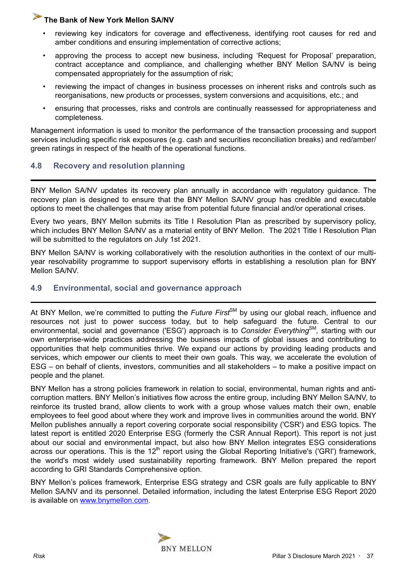- <span id="page-36-0"></span>• reviewing key indicators for coverage and effectiveness, identifying root causes for red and amber conditions and ensuring implementation of corrective actions;
- approving the process to accept new business, including 'Request for Proposal' preparation, contract acceptance and compliance, and challenging whether BNY Mellon SA/NV is being compensated appropriately for the assumption of risk;
- reviewing the impact of changes in business processes on inherent risks and controls such as reorganisations, new products or processes, system conversions and acquisitions, etc.; and
- ensuring that processes, risks and controls are continually reassessed for appropriateness and completeness.

Management information is used to monitor the performance of the transaction processing and support services including specific risk exposures (e.g. cash and securities reconciliation breaks) and red/amber/ green ratings in respect of the health of the operational functions.

## **4.8 Recovery and resolution planning**

BNY Mellon SA/NV updates its recovery plan annually in accordance with regulatory guidance. The recovery plan is designed to ensure that the BNY Mellon SA/NV group has credible and executable options to meet the challenges that may arise from potential future financial and/or operational crises.

Every two years, BNY Mellon submits its Title I Resolution Plan as prescribed by supervisory policy, which includes BNY Mellon SA/NV as a material entity of BNY Mellon. The 2021 Title I Resolution Plan will be submitted to the regulators on July 1st 2021.

BNY Mellon SA/NV is working collaboratively with the resolution authorities in the context of our multiyear resolvability programme to support supervisory efforts in establishing a resolution plan for BNY Mellon SA/NV.

## **4.9 Environmental, social and governance approach**

At BNY Mellon, we're committed to putting the *Future First<sup>SM</sup>* by using our global reach, influence and resources not just to power success today, but to help safeguard the future. Central to our environmental, social and governance ('ESG') approach is to *Consider Everything*SM *,* starting with our own enterprise-wide practices addressing the business impacts of global issues and contributing to opportunities that help communities thrive. We expand our actions by providing leading products and services, which empower our clients to meet their own goals. This way, we accelerate the evolution of ESG – on behalf of clients, investors, communities and all stakeholders – to make a positive impact on people and the planet.

BNY Mellon has a strong policies framework in relation to social, environmental, human rights and anticorruption matters. BNY Mellon's initiatives flow across the entire group, including BNY Mellon SA/NV, to reinforce its trusted brand, allow clients to work with a group whose values match their own, enable employees to feel good about where they work and improve lives in communities around the world. BNY Mellon publishes annually a report covering corporate social responsibility ('CSR') and ESG topics. The latest report is entitled 2020 Enterprise ESG (formerly the CSR Annual Report). This report is not just about our social and environmental impact, but also how BNY Mellon integrates ESG considerations across our operations. This is the  $12<sup>th</sup>$  report using the Global Reporting Initiative's ('GRI') framework, the world's most widely used sustainability reporting framework. BNY Mellon prepared the report according to GRI Standards Comprehensive option.

BNY Mellon's polices framework, Enterprise ESG strategy and CSR goals are fully applicable to BNY Mellon SA/NV and its personnel. Detailed information, including the latest Enterprise ESG Report 2020 is available on [www.bnymellon.com.](www.bnymellon.com)

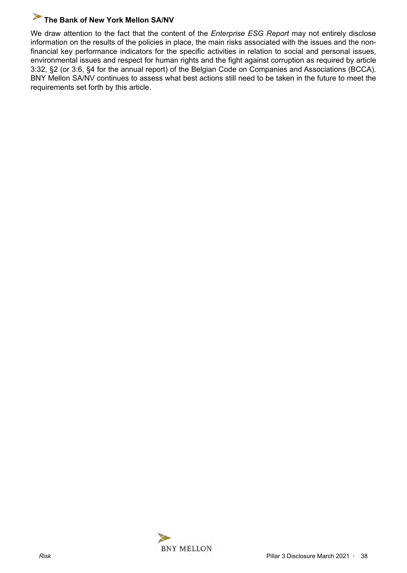We draw attention to the fact that the content of the *Enterprise ESG Report* may not entirely disclose information on the results of the policies in place, the main risks associated with the issues and the nonfinancial key performance indicators for the specific activities in relation to social and personal issues, environmental issues and respect for human rights and the fight against corruption as required by article 3:32, §2 (or 3:6, §4 for the annual report) of the Belgian Code on Companies and Associations (BCCA). BNY Mellon SA/NV continues to assess what best actions still need to be taken in the future to meet the requirements set forth by this article.

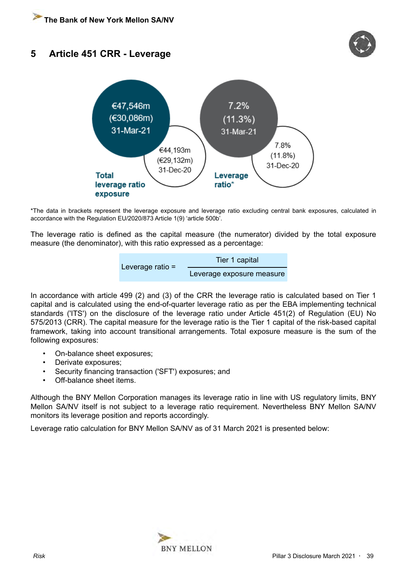# <span id="page-38-0"></span>**5 Article 451 CRR - Leverage**





\*The data in brackets represent the leverage exposure and leverage ratio excluding central bank exposures, calculated in accordance with the Regulation EU/2020/873 Article 1(9) 'article 500b'.

The leverage ratio is defined as the capital measure (the numerator) divided by the total exposure measure (the denominator), with this ratio expressed as a percentage:

| Leverage ratio $=$ | Tier 1 capital            |  |  |  |
|--------------------|---------------------------|--|--|--|
|                    | Leverage exposure measure |  |  |  |

In accordance with article 499 (2) and (3) of the CRR the leverage ratio is calculated based on Tier 1 capital and is calculated using the end-of-quarter leverage ratio as per the EBA implementing technical standards ('ITS') on the disclosure of the leverage ratio under Article 451(2) of Regulation (EU) No 575/2013 (CRR). The capital measure for the leverage ratio is the Tier 1 capital of the risk-based capital framework, taking into account transitional arrangements. Total exposure measure is the sum of the following exposures:

- On-balance sheet exposures;
- Derivate exposures;
- Security financing transaction ('SFT') exposures; and
- Off-balance sheet items.

Although the BNY Mellon Corporation manages its leverage ratio in line with US regulatory limits, BNY Mellon SA/NV itself is not subject to a leverage ratio requirement. Nevertheless BNY Mellon SA/NV monitors its leverage position and reports accordingly.

Leverage ratio calculation for BNY Mellon SA/NV as of 31 March 2021 is presented below:

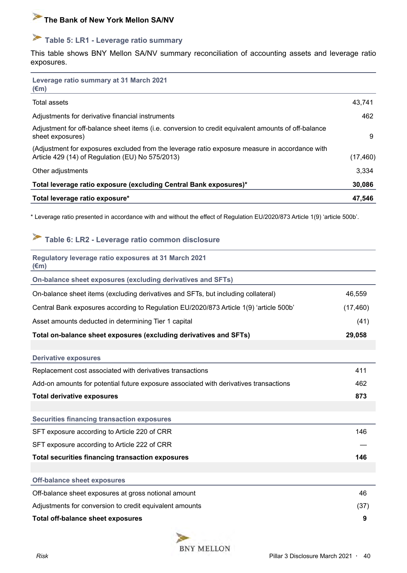# <span id="page-39-0"></span> **Table 5: LR1 - Leverage ratio summary**

This table shows BNY Mellon SA/NV summary reconciliation of accounting assets and leverage ratio exposures.

| Leverage ratio summary at 31 March 2021<br>$(\epsilon m)$                                                                                          |           |
|----------------------------------------------------------------------------------------------------------------------------------------------------|-----------|
| Total assets                                                                                                                                       | 43.741    |
| Adjustments for derivative financial instruments                                                                                                   | 462       |
| Adjustment for off-balance sheet items (i.e. conversion to credit equivalent amounts of off-balance<br>sheet exposures)                            | 9         |
| (Adjustment for exposures excluded from the leverage ratio exposure measure in accordance with<br>Article 429 (14) of Regulation (EU) No 575/2013) | (17, 460) |
| Other adjustments                                                                                                                                  | 3,334     |
| Total leverage ratio exposure (excluding Central Bank exposures)*                                                                                  | 30,086    |
| Total leverage ratio exposure*                                                                                                                     | 47,546    |

\* Leverage ratio presented in accordance with and without the effect of Regulation EU/2020/873 Article 1(9) 'article 500b'.

# **Table 6: LR2 - Leverage ratio common disclosure**

| Regulatory leverage ratio exposures at 31 March 2021<br>$(\epsilon m)$                 |           |
|----------------------------------------------------------------------------------------|-----------|
| On-balance sheet exposures (excluding derivatives and SFTs)                            |           |
| On-balance sheet items (excluding derivatives and SFTs, but including collateral)      | 46,559    |
| Central Bank exposures according to Regulation EU/2020/873 Article 1(9) 'article 500b' | (17, 460) |
| Asset amounts deducted in determining Tier 1 capital                                   | (41)      |
| Total on-balance sheet exposures (excluding derivatives and SFTs)                      | 29,058    |
|                                                                                        |           |
| <b>Derivative exposures</b>                                                            |           |
| Replacement cost associated with derivatives transactions                              | 411       |
| Add-on amounts for potential future exposure associated with derivatives transactions  | 462       |
| <b>Total derivative exposures</b>                                                      | 873       |
|                                                                                        |           |
| <b>Securities financing transaction exposures</b>                                      |           |
| SFT exposure according to Article 220 of CRR                                           | 146       |
| SFT exposure according to Article 222 of CRR                                           |           |
| <b>Total securities financing transaction exposures</b>                                | 146       |
|                                                                                        |           |
| <b>Off-balance sheet exposures</b>                                                     |           |
| Off-balance sheet exposures at gross notional amount                                   | 46        |
| Adjustments for conversion to credit equivalent amounts                                | (37)      |
| <b>Total off-balance sheet exposures</b>                                               | 9         |
| $\sim$                                                                                 |           |

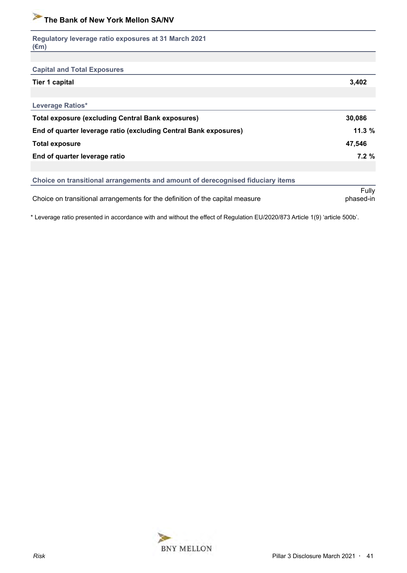| Regulatory leverage ratio exposures at 31 March 2021<br>$(\epsilon m)$         |           |
|--------------------------------------------------------------------------------|-----------|
|                                                                                |           |
| <b>Capital and Total Exposures</b>                                             |           |
| <b>Tier 1 capital</b>                                                          | 3,402     |
|                                                                                |           |
| Leverage Ratios*                                                               |           |
| <b>Total exposure (excluding Central Bank exposures)</b>                       | 30,086    |
| End of quarter leverage ratio (excluding Central Bank exposures)               | 11.3%     |
| <b>Total exposure</b>                                                          | 47,546    |
| End of quarter leverage ratio                                                  | 7.2%      |
|                                                                                |           |
| Choice on transitional arrangements and amount of derecognised fiduciary items |           |
|                                                                                | Fully     |
| Choice on transitional arrangements for the definition of the capital measure  | phased-in |

\* Leverage ratio presented in accordance with and without the effect of Regulation EU/2020/873 Article 1(9) 'article 500b'.

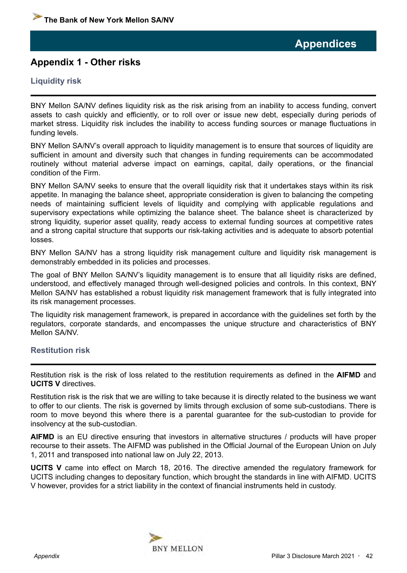# <span id="page-41-0"></span>**Appendix 1 - Other risks**

## **Liquidity risk**

BNY Mellon SA/NV defines liquidity risk as the risk arising from an inability to access funding, convert assets to cash quickly and efficiently, or to roll over or issue new debt, especially during periods of market stress. Liquidity risk includes the inability to access funding sources or manage fluctuations in funding levels.

BNY Mellon SA/NV's overall approach to liquidity management is to ensure that sources of liquidity are sufficient in amount and diversity such that changes in funding requirements can be accommodated routinely without material adverse impact on earnings, capital, daily operations, or the financial condition of the Firm.

BNY Mellon SA/NV seeks to ensure that the overall liquidity risk that it undertakes stays within its risk appetite. In managing the balance sheet, appropriate consideration is given to balancing the competing needs of maintaining sufficient levels of liquidity and complying with applicable regulations and supervisory expectations while optimizing the balance sheet. The balance sheet is characterized by strong liquidity, superior asset quality, ready access to external funding sources at competitive rates and a strong capital structure that supports our risk-taking activities and is adequate to absorb potential losses.

BNY Mellon SA/NV has a strong liquidity risk management culture and liquidity risk management is demonstrably embedded in its policies and processes.

The goal of BNY Mellon SA/NV's liquidity management is to ensure that all liquidity risks are defined, understood, and effectively managed through well-designed policies and controls. In this context, BNY Mellon SA/NV has established a robust liquidity risk management framework that is fully integrated into its risk management processes.

The liquidity risk management framework, is prepared in accordance with the guidelines set forth by the regulators, corporate standards, and encompasses the unique structure and characteristics of BNY Mellon SA/NV.

#### **Restitution risk**

Restitution risk is the risk of loss related to the restitution requirements as defined in the **AIFMD** and **UCITS V** directives.

Restitution risk is the risk that we are willing to take because it is directly related to the business we want to offer to our clients. The risk is governed by limits through exclusion of some sub-custodians. There is room to move beyond this where there is a parental guarantee for the sub-custodian to provide for insolvency at the sub-custodian.

**AIFMD** is an EU directive ensuring that investors in alternative structures / products will have proper recourse to their assets. The AIFMD was published in the Official Journal of the European Union on July 1, 2011 and transposed into national law on July 22, 2013.

**UCITS V** came into effect on March 18, 2016. The directive amended the regulatory framework for UCITS including changes to depositary function, which brought the standards in line with AIFMD. UCITS V however, provides for a strict liability in the context of financial instruments held in custody.

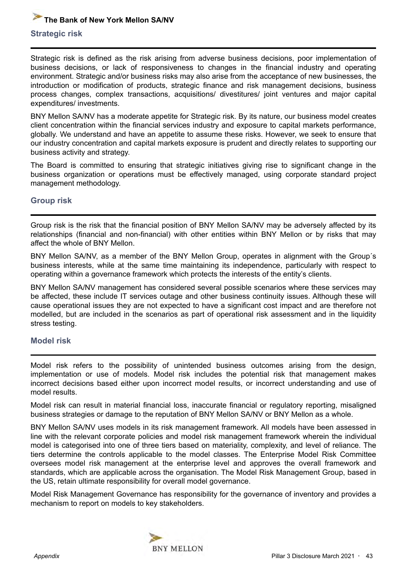# <span id="page-42-0"></span>**Strategic risk The Bank of New York Mellon SA/NV**

Strategic risk is defined as the risk arising from adverse business decisions, poor implementation of business decisions, or lack of responsiveness to changes in the financial industry and operating environment. Strategic and/or business risks may also arise from the acceptance of new businesses, the introduction or modification of products, strategic finance and risk management decisions, business process changes, complex transactions, acquisitions/ divestitures/ joint ventures and major capital expenditures/ investments.

BNY Mellon SA/NV has a moderate appetite for Strategic risk. By its nature, our business model creates client concentration within the financial services industry and exposure to capital markets performance, globally. We understand and have an appetite to assume these risks. However, we seek to ensure that our industry concentration and capital markets exposure is prudent and directly relates to supporting our business activity and strategy.

The Board is committed to ensuring that strategic initiatives giving rise to significant change in the business organization or operations must be effectively managed, using corporate standard project management methodology.

#### **Group risk**

Group risk is the risk that the financial position of BNY Mellon SA/NV may be adversely affected by its relationships (financial and non-financial) with other entities within BNY Mellon or by risks that may affect the whole of BNY Mellon.

BNY Mellon SA/NV, as a member of the BNY Mellon Group, operates in alignment with the Group´s business interests, while at the same time maintaining its independence, particularly with respect to operating within a governance framework which protects the interests of the entity's clients.

BNY Mellon SA/NV management has considered several possible scenarios where these services may be affected, these include IT services outage and other business continuity issues. Although these will cause operational issues they are not expected to have a significant cost impact and are therefore not modelled, but are included in the scenarios as part of operational risk assessment and in the liquidity stress testing.

#### **Model risk**

Model risk refers to the possibility of unintended business outcomes arising from the design, implementation or use of models. Model risk includes the potential risk that management makes incorrect decisions based either upon incorrect model results, or incorrect understanding and use of model results.

Model risk can result in material financial loss, inaccurate financial or regulatory reporting, misaligned business strategies or damage to the reputation of BNY Mellon SA/NV or BNY Mellon as a whole.

BNY Mellon SA/NV uses models in its risk management framework. All models have been assessed in line with the relevant corporate policies and model risk management framework wherein the individual model is categorised into one of three tiers based on materiality, complexity, and level of reliance. The tiers determine the controls applicable to the model classes. The Enterprise Model Risk Committee oversees model risk management at the enterprise level and approves the overall framework and standards, which are applicable across the organisation. The Model Risk Management Group, based in the US, retain ultimate responsibility for overall model governance.

Model Risk Management Governance has responsibility for the governance of inventory and provides a mechanism to report on models to key stakeholders.

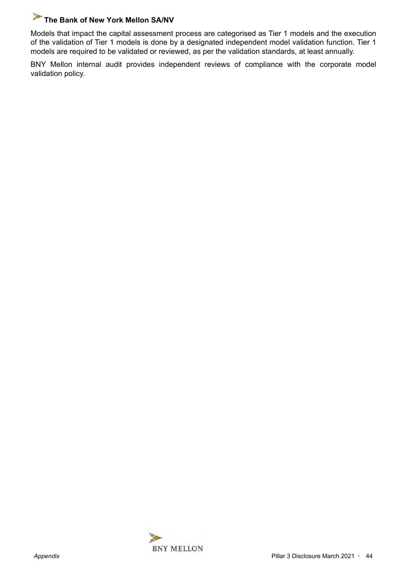Models that impact the capital assessment process are categorised as Tier 1 models and the execution of the validation of Tier 1 models is done by a designated independent model validation function. Tier 1 models are required to be validated or reviewed, as per the validation standards, at least annually.

BNY Mellon internal audit provides independent reviews of compliance with the corporate model validation policy.

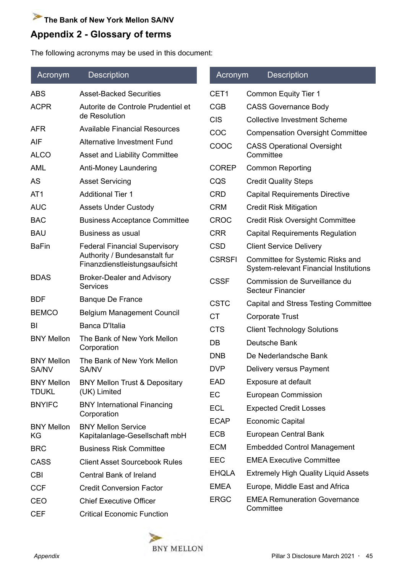# <span id="page-44-0"></span>**Appendix 2 - Glossary of terms**

The following acronyms may be used in this document:

| Acronym           | <b>Description</b>                                             | Acronym                  | <b>Description</b>                                                           |
|-------------------|----------------------------------------------------------------|--------------------------|------------------------------------------------------------------------------|
| <b>ABS</b>        | <b>Asset-Backed Securities</b>                                 | CET <sub>1</sub>         | <b>Common Equity Tier 1</b>                                                  |
| <b>ACPR</b>       | Autorite de Controle Prudentiel et<br>de Resolution            | <b>CGB</b><br><b>CIS</b> | <b>CASS Governance Body</b><br><b>Collective Investment Scheme</b>           |
| <b>AFR</b>        | <b>Available Financial Resources</b>                           | COC                      |                                                                              |
| <b>AIF</b>        | <b>Alternative Investment Fund</b>                             | COOC                     | <b>Compensation Oversight Committee</b><br><b>CASS Operational Oversight</b> |
| <b>ALCO</b>       | <b>Asset and Liability Committee</b>                           |                          | Committee                                                                    |
| <b>AML</b>        | Anti-Money Laundering                                          | <b>COREP</b>             | <b>Common Reporting</b>                                                      |
| AS                | <b>Asset Servicing</b>                                         | CQS                      | <b>Credit Quality Steps</b>                                                  |
| AT <sub>1</sub>   | <b>Additional Tier 1</b>                                       | <b>CRD</b>               | <b>Capital Requirements Directive</b>                                        |
| <b>AUC</b>        | <b>Assets Under Custody</b>                                    | <b>CRM</b>               | <b>Credit Risk Mitigation</b>                                                |
| <b>BAC</b>        | <b>Business Acceptance Committee</b>                           | <b>CROC</b>              | <b>Credit Risk Oversight Committee</b>                                       |
| <b>BAU</b>        | Business as usual                                              | <b>CRR</b>               | <b>Capital Requirements Regulation</b>                                       |
| <b>BaFin</b>      | <b>Federal Financial Supervisory</b>                           | <b>CSD</b>               | <b>Client Service Delivery</b>                                               |
|                   | Authority / Bundesanstalt fur<br>Finanzdienstleistungsaufsicht | <b>CSRSFI</b>            | Committee for Systemic Risks and<br>System-relevant Financial Institutions   |
| <b>BDAS</b>       | <b>Broker-Dealer and Advisory</b><br><b>Services</b>           | <b>CSSF</b>              | Commission de Surveillance du<br><b>Secteur Financier</b>                    |
| <b>BDF</b>        | <b>Banque De France</b>                                        | <b>CSTC</b>              | Capital and Stress Testing Committee                                         |
| <b>BEMCO</b>      | <b>Belgium Management Council</b>                              | <b>CT</b>                | <b>Corporate Trust</b>                                                       |
| BI                | Banca D'Italia                                                 | <b>CTS</b>               | <b>Client Technology Solutions</b>                                           |
| <b>BNY Mellon</b> | The Bank of New York Mellon                                    | DB                       | Deutsche Bank                                                                |
| <b>BNY Mellon</b> | Corporation<br>The Bank of New York Mellon                     | <b>DNB</b>               | De Nederlandsche Bank                                                        |
| <b>SA/NV</b>      | <b>SA/NV</b>                                                   | <b>DVP</b>               | Delivery versus Payment                                                      |
| <b>BNY Mellon</b> | <b>BNY Mellon Trust &amp; Depositary</b>                       | <b>EAD</b>               | Exposure at default                                                          |
| <b>TDUKL</b>      | (UK) Limited                                                   | EC                       | <b>European Commission</b>                                                   |
| <b>BNYIFC</b>     | <b>BNY International Financing</b>                             | <b>ECL</b>               | <b>Expected Credit Losses</b>                                                |
| <b>BNY Mellon</b> | Corporation<br><b>BNY Mellon Service</b>                       | <b>ECAP</b>              | <b>Economic Capital</b>                                                      |
| KG                | Kapitalanlage-Gesellschaft mbH                                 | <b>ECB</b>               | European Central Bank                                                        |
| <b>BRC</b>        | <b>Business Risk Committee</b>                                 | <b>ECM</b>               | <b>Embedded Control Management</b>                                           |
| <b>CASS</b>       | <b>Client Asset Sourcebook Rules</b>                           | <b>EEC</b>               | <b>EMEA Executive Committee</b>                                              |
| <b>CBI</b>        | <b>Central Bank of Ireland</b>                                 | <b>EHQLA</b>             | <b>Extremely High Quality Liquid Assets</b>                                  |
| <b>CCF</b>        | <b>Credit Conversion Factor</b>                                | <b>EMEA</b>              | Europe, Middle East and Africa                                               |
| <b>CEO</b>        | <b>Chief Executive Officer</b>                                 | <b>ERGC</b>              | <b>EMEA Remuneration Governance</b>                                          |
| <b>CEF</b>        | <b>Critical Economic Function</b>                              |                          | Committee                                                                    |

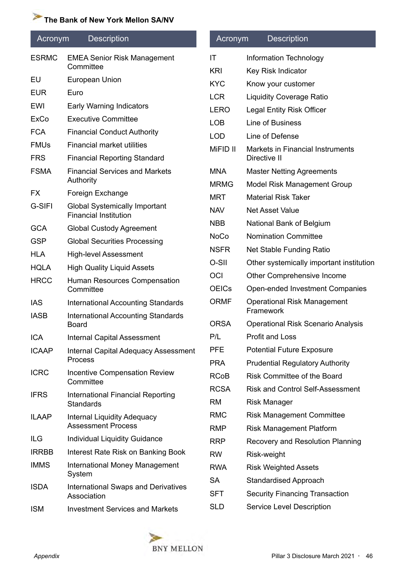| Acronym      | <b>Description</b>                                           | Acronym                   | <b>Description</b>                                                     |
|--------------|--------------------------------------------------------------|---------------------------|------------------------------------------------------------------------|
| <b>ESRMC</b> | <b>EMEA Senior Risk Management</b>                           | IT                        | Information Technology                                                 |
|              | Committee                                                    | <b>KRI</b>                | Key Risk Indicator                                                     |
| EU           | European Union                                               | <b>KYC</b>                | Know your customer                                                     |
| <b>EUR</b>   | Euro                                                         | <b>LCR</b>                | <b>Liquidity Coverage Ratio</b>                                        |
| EWI          | Early Warning Indicators                                     | <b>LERO</b>               | <b>Legal Entity Risk Officer</b>                                       |
| <b>ExCo</b>  | <b>Executive Committee</b>                                   | <b>LOB</b>                | Line of Business                                                       |
| <b>FCA</b>   | <b>Financial Conduct Authority</b>                           | <b>LOD</b>                | Line of Defense                                                        |
| <b>FMUs</b>  | <b>Financial market utilities</b>                            | MiFID II                  | Markets in Financial Instruments                                       |
| <b>FRS</b>   | <b>Financial Reporting Standard</b>                          |                           | Directive II                                                           |
| <b>FSMA</b>  | <b>Financial Services and Markets</b><br>Authority           | <b>MNA</b><br><b>MRMG</b> | <b>Master Netting Agreements</b><br><b>Model Risk Management Group</b> |
| FX           | Foreign Exchange                                             | <b>MRT</b>                | <b>Material Risk Taker</b>                                             |
| G-SIFI       | <b>Global Systemically Important</b>                         | <b>NAV</b>                | <b>Net Asset Value</b>                                                 |
|              | <b>Financial Institution</b>                                 | <b>NBB</b>                | National Bank of Belgium                                               |
| <b>GCA</b>   | <b>Global Custody Agreement</b>                              | <b>NoCo</b>               | <b>Nomination Committee</b>                                            |
| <b>GSP</b>   | <b>Global Securities Processing</b>                          | <b>NSFR</b>               | Net Stable Funding Ratio                                               |
| <b>HLA</b>   | <b>High-level Assessment</b>                                 | O-SII                     | Other systemically important institution                               |
| <b>HQLA</b>  | <b>High Quality Liquid Assets</b>                            | OCI                       | Other Comprehensive Income                                             |
| <b>HRCC</b>  | Human Resources Compensation<br>Committee                    | <b>OEICs</b>              | Open-ended Investment Companies                                        |
| <b>IAS</b>   | <b>International Accounting Standards</b>                    | <b>ORMF</b>               | <b>Operational Risk Management</b>                                     |
| <b>IASB</b>  | <b>International Accounting Standards</b>                    |                           | Framework                                                              |
|              | <b>Board</b>                                                 | <b>ORSA</b>               | <b>Operational Risk Scenario Analysis</b>                              |
| <b>ICA</b>   | <b>Internal Capital Assessment</b>                           | P/L                       | Profit and Loss                                                        |
| <b>ICAAP</b> | <b>Internal Capital Adequacy Assessment</b><br>Process       | <b>PFE</b>                | <b>Potential Future Exposure</b>                                       |
| <b>ICRC</b>  | <b>Incentive Compensation Review</b>                         | <b>PRA</b>                | <b>Prudential Regulatory Authority</b>                                 |
|              | Committee                                                    | <b>RCoB</b>               | <b>Risk Committee of the Board</b>                                     |
| <b>IFRS</b>  | <b>International Financial Reporting</b><br><b>Standards</b> | <b>RCSA</b><br><b>RM</b>  | <b>Risk and Control Self-Assessment</b><br><b>Risk Manager</b>         |
| <b>ILAAP</b> | <b>Internal Liquidity Adequacy</b>                           | <b>RMC</b>                | <b>Risk Management Committee</b>                                       |
|              | <b>Assessment Process</b>                                    | <b>RMP</b>                | <b>Risk Management Platform</b>                                        |
| ILG          | <b>Individual Liquidity Guidance</b>                         | <b>RRP</b>                | Recovery and Resolution Planning                                       |
| <b>IRRBB</b> | Interest Rate Risk on Banking Book                           | <b>RW</b>                 | Risk-weight                                                            |
| <b>IMMS</b>  | <b>International Money Management</b><br>System              | <b>RWA</b>                | <b>Risk Weighted Assets</b>                                            |
| <b>ISDA</b>  | <b>International Swaps and Derivatives</b><br>Association    | <b>SA</b><br><b>SFT</b>   | <b>Standardised Approach</b><br><b>Security Financing Transaction</b>  |
| <b>ISM</b>   | <b>Investment Services and Markets</b>                       | <b>SLD</b>                | <b>Service Level Description</b>                                       |
|              |                                                              |                           |                                                                        |

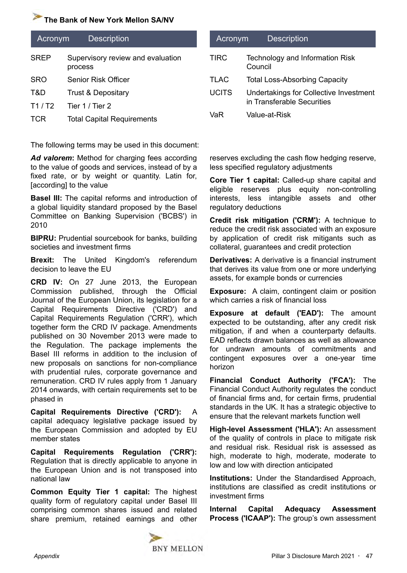| Acronym     | <b>Description</b>                           |
|-------------|----------------------------------------------|
| <b>SREP</b> | Supervisory review and evaluation<br>process |
| <b>SRO</b>  | Senior Risk Officer                          |
| T&D         | <b>Trust &amp; Depositary</b>                |
| T1/12       | Tier 1 / Tier 2                              |
| TCR         | <b>Total Capital Requirements</b>            |

The following terms may be used in this document:

Ad valorem: Method for charging fees according to the value of goods and services, instead of by a fixed rate, or by weight or quantity. Latin for, [according] to the value

**Basel III:** The capital reforms and introduction of a global liquidity standard proposed by the Basel Committee on Banking Supervision ('BCBS') in 2010

**BIPRU:** Prudential sourcebook for banks, building societies and investment firms

**Brexit:** The United Kingdom's referendum decision to leave the EU

**CRD IV:** On 27 June 2013, the European Commission published, through the Official Journal of the European Union, its legislation for a Capital Requirements Directive ('CRD') and Capital Requirements Regulation ('CRR'), which together form the CRD IV package. Amendments published on 30 November 2013 were made to the Regulation. The package implements the Basel III reforms in addition to the inclusion of new proposals on sanctions for non-compliance with prudential rules, corporate governance and remuneration. CRD IV rules apply from 1 January 2014 onwards, with certain requirements set to be phased in

**Capital Requirements Directive ('CRD'):** A capital adequacy legislative package issued by the European Commission and adopted by EU member states

**Capital Requirements Regulation ('CRR'):** Regulation that is directly applicable to anyone in the European Union and is not transposed into national law

**Common Equity Tier 1 capital:** The highest quality form of regulatory capital under Basel III comprising common shares issued and related share premium, retained earnings and other

| Acronym      | <b>Description</b>                                                   |
|--------------|----------------------------------------------------------------------|
| <b>TIRC</b>  | Technology and Information Risk<br>Council                           |
| <b>TLAC</b>  | <b>Total Loss-Absorbing Capacity</b>                                 |
| <b>UCITS</b> | Undertakings for Collective Investment<br>in Transferable Securities |
| VaR          | Value-at-Risk                                                        |

reserves excluding the cash flow hedging reserve, less specified regulatory adjustments

**Core Tier 1 capital:** Called-up share capital and eligible reserves plus equity non-controlling interests, less intangible assets and other regulatory deductions

**Credit risk mitigation ('CRM'):** A technique to reduce the credit risk associated with an exposure by application of credit risk mitigants such as collateral, guarantees and credit protection

**Derivatives:** A derivative is a financial instrument that derives its value from one or more underlying assets, for example bonds or currencies

**Exposure:** A claim, contingent claim or position which carries a risk of financial loss

**Exposure at default ('EAD'):** The amount expected to be outstanding, after any credit risk mitigation, if and when a counterparty defaults. EAD reflects drawn balances as well as allowance for undrawn amounts of commitments and contingent exposures over a one-year time horizon

**Financial Conduct Authority ('FCA'):** The Financial Conduct Authority regulates the conduct of financial firms and, for certain firms, prudential standards in the UK. It has a strategic objective to ensure that the relevant markets function well

**High-level Assessment ('HLA'):** An assessment of the quality of controls in place to mitigate risk and residual risk. Residual risk is assessed as high, moderate to high, moderate, moderate to low and low with direction anticipated

**Institutions:** Under the Standardised Approach, institutions are classified as credit institutions or investment firms

**Internal Capital Adequacy Assessment Process ('ICAAP'):** The group's own assessment

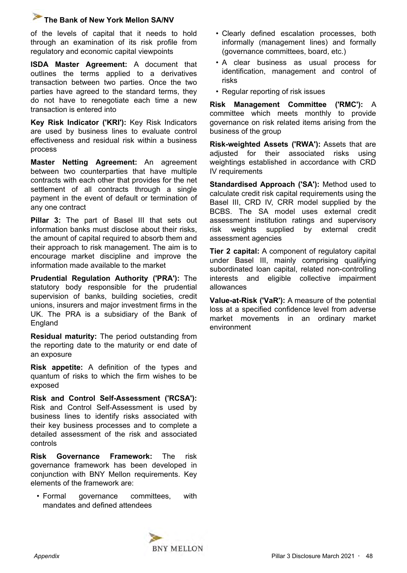of the levels of capital that it needs to hold through an examination of its risk profile from regulatory and economic capital viewpoints

**ISDA Master Agreement:** A document that outlines the terms applied to a derivatives transaction between two parties. Once the two parties have agreed to the standard terms, they do not have to renegotiate each time a new transaction is entered into

**Key Risk Indicator ('KRI'):** Key Risk Indicators are used by business lines to evaluate control effectiveness and residual risk within a business process

**Master Netting Agreement:** An agreement between two counterparties that have multiple contracts with each other that provides for the net settlement of all contracts through a single payment in the event of default or termination of any one contract

**Pillar 3:** The part of Basel III that sets out information banks must disclose about their risks, the amount of capital required to absorb them and their approach to risk management. The aim is to encourage market discipline and improve the information made available to the market

**Prudential Regulation Authority ('PRA'):** The statutory body responsible for the prudential supervision of banks, building societies, credit unions, insurers and major investment firms in the UK. The PRA is a subsidiary of the Bank of England

**Residual maturity:** The period outstanding from the reporting date to the maturity or end date of an exposure

**Risk appetite:** A definition of the types and quantum of risks to which the firm wishes to be exposed

**Risk and Control Self-Assessment ('RCSA'):**  Risk and Control Self-Assessment is used by business lines to identify risks associated with their key business processes and to complete a detailed assessment of the risk and associated controls

**Risk Governance Framework:** The risk governance framework has been developed in conjunction with BNY Mellon requirements. Key elements of the framework are:

• Formal governance committees, with mandates and defined attendees

- Clearly defined escalation processes, both informally (management lines) and formally (governance committees, board, etc.)
- A clear business as usual process for identification, management and control of risks
- Regular reporting of risk issues

**Risk Management Committee ('RMC'):** A committee which meets monthly to provide governance on risk related items arising from the business of the group

**Risk-weighted Assets ('RWA'):** Assets that are adjusted for their associated risks using weightings established in accordance with CRD IV requirements

**Standardised Approach ('SA'):** Method used to calculate credit risk capital requirements using the Basel III, CRD IV, CRR model supplied by the BCBS. The SA model uses external credit assessment institution ratings and supervisory risk weights supplied by external credit assessment agencies

**Tier 2 capital:** A component of regulatory capital under Basel III, mainly comprising qualifying subordinated loan capital, related non-controlling interests and eligible collective impairment allowances

**Value-at-Risk ('VaR'):** A measure of the potential loss at a specified confidence level from adverse market movements in an ordinary market environment

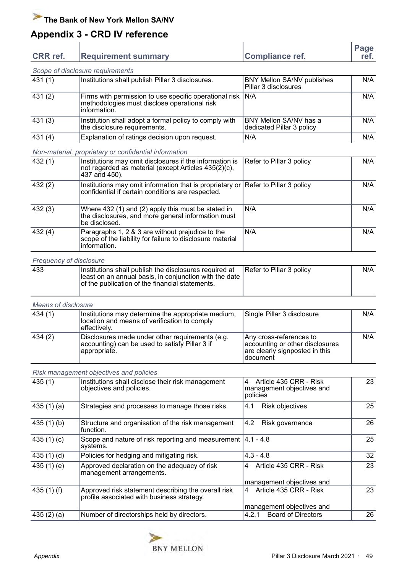# <span id="page-48-0"></span>**Appendix 3 - CRD IV reference**

| <b>CRR</b> ref. | <b>Requirement summary</b>       | Compliance ref. | Page<br>ret. |
|-----------------|----------------------------------|-----------------|--------------|
|                 | Scope of disclosure requirements |                 |              |

|        | <u>OCODE OF GISCIOSULE TEQUIFICITIO</u>                                                                                      |                                                     |     |
|--------|------------------------------------------------------------------------------------------------------------------------------|-----------------------------------------------------|-----|
| 431(1) | Institutions shall publish Pillar 3 disclosures.                                                                             | BNY Mellon SA/NV publishes<br>Pillar 3 disclosures  | N/A |
| 431(2) | Firms with permission to use specific operational risk   N/A<br>methodologies must disclose operational risk<br>Information. |                                                     | N/A |
| 431(3) | Institution shall adopt a formal policy to comply with<br>the disclosure requirements.                                       | BNY Mellon SA/NV has a<br>dedicated Pillar 3 policy | N/A |
| 431(4) | Explanation of ratings decision upon request.                                                                                | N/A                                                 | N/A |

#### *Non-material, proprietary or confidential information*

| 432(1)  | Institutions may omit disclosures if the information is<br>not regarded as material (except Articles 435(2)(c),<br>437 and 450).       | Refer to Pillar 3 policy | N/A |
|---------|----------------------------------------------------------------------------------------------------------------------------------------|--------------------------|-----|
| 432(2)  | Institutions may omit information that is proprietary or Refer to Pillar 3 policy<br>confidential if certain conditions are respected. |                          | N/A |
| 432(3)  | Where 432 (1) and (2) apply this must be stated in<br>the disclosures, and more general information must<br>be disclosed.              | N/A                      | N/A |
| 432 (4) | Paragraphs 1, 2 & 3 are without prejudice to the<br>scope of the liability for failure to disclosure material<br>information.          | N/A                      | N/A |

#### *Frequency of disclosure*

| 433 | Institutions shall publish the disclosures required at $\Box$ Refer to Pillar 3 policy<br>least on an annual basis, in conjunction with the date<br>of the publication of the financial statements. | N/A |
|-----|-----------------------------------------------------------------------------------------------------------------------------------------------------------------------------------------------------|-----|
|     |                                                                                                                                                                                                     |     |

#### *Means of disclosure*

| 434(1) | Institutions may determine the appropriate medium,<br>location and means of verification to comply<br>⊺effectivelv. | Single Pillar 3 disclosure                                                                                  | N/A |
|--------|---------------------------------------------------------------------------------------------------------------------|-------------------------------------------------------------------------------------------------------------|-----|
| 434(2) | Disclosures made under other requirements (e.g.<br>accounting) can be used to satisfy Pillar 3 if<br>lappropriate.  | ∣Any cross-references to<br>accounting or other disclosures<br>are clearly signposted in this<br>l document | N/A |

#### *Risk management objectives and policies*

| 435(1)          | Institutions shall disclose their risk management<br>objectives and policies.                     | 4<br>Article 435 CRR - Risk<br>management objectives and<br>policies | 23 |
|-----------------|---------------------------------------------------------------------------------------------------|----------------------------------------------------------------------|----|
| 435(1)(a)       | Strategies and processes to manage those risks.                                                   | <b>Risk objectives</b><br>4.1                                        | 25 |
| 435(1)(b)       | Structure and organisation of the risk management<br>function.                                    | 4.2<br>Risk governance                                               | 26 |
| 435 $(1)(c)$    | Scope and nature of risk reporting and measurement $ 4.1 - 4.8 $<br>systems.                      |                                                                      | 25 |
| 435(1)(d)       | Policies for hedging and mitigating risk.                                                         | $4.3 - 4.8$                                                          | 32 |
| 435(1)(e)       | Approved declaration on the adequacy of risk<br>management arrangements.                          | Article 435 CRR - Risk<br>4                                          | 23 |
|                 |                                                                                                   | management objectives and                                            |    |
| 435 $(1)$ $(f)$ | Approved risk statement describing the overall risk<br>profile associated with business strategy. | Article 435 CRR - Risk<br>4                                          | 23 |
|                 |                                                                                                   | management objectives and                                            |    |
| 435(2)(a)       | Number of directorships held by directors.                                                        | <b>Board of Directors</b><br>4.2.1                                   | 26 |

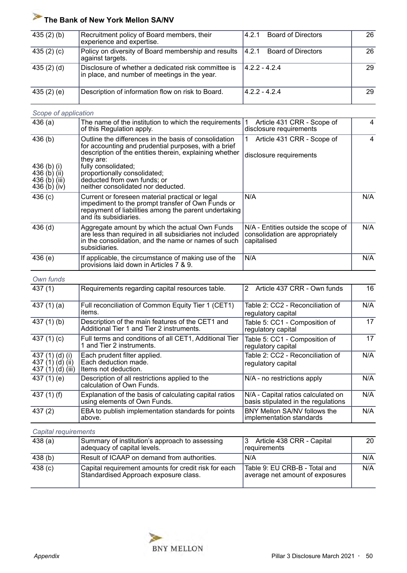| 435(2)(b)       | Recruitment policy of Board members, their<br>experience and expertise.                              | <b>Board of Directors</b><br>4.2.1  | 26 |
|-----------------|------------------------------------------------------------------------------------------------------|-------------------------------------|----|
| 435 $(2)$ $(c)$ | Policy on diversity of Board membership and results<br>against targets.                              | 14.2.1<br><b>Board of Directors</b> | 26 |
| 435(2)(d)       | Disclosure of whether a dedicated risk committee is<br>in place, and number of meetings in the year. | $14.2.2 - 4.2.4$                    | 29 |
| 435 (2) (e)     | Description of information flow on risk to Board.                                                    | $14.2.2 - 4.2.4$                    | 29 |

#### *Scope of application*

| oopo or appno                                                                |                                                                                                                                                                                                                                                                                                                   |                                                                                       |     |
|------------------------------------------------------------------------------|-------------------------------------------------------------------------------------------------------------------------------------------------------------------------------------------------------------------------------------------------------------------------------------------------------------------|---------------------------------------------------------------------------------------|-----|
| 436(a)                                                                       | The name of the institution to which the requirements  <br>of this Regulation apply.                                                                                                                                                                                                                              | Article 431 CRR - Scope of<br>disclosure requirements                                 | 4   |
| 436(b)<br>436 (b) (i)<br>436 $(b)$ (ii)<br>436 (b) (iii)<br>436 $(b)$ $(iv)$ | Outline the differences in the basis of consolidation<br>for accounting and prudential purposes, with a brief<br>description of the entities therein, explaining whether<br>they are:<br>fully consolidated;<br>proportionally consolidated;<br>deducted from own funds; or<br>neither consolidated nor deducted. | Article 431 CRR - Scope of<br>disclosure requirements                                 | 4   |
| 436(c)                                                                       | Current or foreseen material practical or legal<br>impediment to the prompt transfer of Own Funds or<br>repayment of liabilities among the parent undertaking<br>and its subsidiaries.                                                                                                                            | N/A                                                                                   | N/A |
| $436$ (d)                                                                    | Aggregate amount by which the actual Own Funds<br>are less than required in all subsidiaries not included<br>in the consolidation, and the name or names of such<br>subsidiaries.                                                                                                                                 | N/A - Entities outside the scope of<br>consolidation are appropriately<br>capitalised | N/A |
| 436(e)                                                                       | If applicable, the circumstance of making use of the<br>provisions laid down in Articles 7 & 9.                                                                                                                                                                                                                   | N/A                                                                                   | N/A |

#### *Own funds*

| 437(1)                                                   | Requirements regarding capital resources table.                                               | Article 437 CRR - Own funds<br>$\overline{2}$                             | 16  |
|----------------------------------------------------------|-----------------------------------------------------------------------------------------------|---------------------------------------------------------------------------|-----|
| 437 $(1)(a)$                                             | Full reconciliation of Common Equity Tier 1 (CET1)<br>items.                                  | Table 2: CC2 - Reconciliation of<br>regulatory capital                    | N/A |
| $437(1)$ (b)                                             | Description of the main features of the CET1 and<br>Additional Tier 1 and Tier 2 instruments. | Table 5: CC1 - Composition of<br>regulatory capital                       | 17  |
| 437 $(1)(c)$                                             | Full terms and conditions of all CET1, Additional Tier<br>1 and Tier 2 instruments.           | Table 5: CC1 - Composition of<br>regulatory capital                       | 17  |
| 437 (1) (d) (i)<br>437 (1) (d) (ii)<br>437 $(1)(d)(iii)$ | Each prudent filter applied.<br>Each deduction made.<br>Items not deduction.                  | Table 2: CC2 - Reconciliation of<br>regulatory capital                    | N/A |
| 437 (1) (e)                                              | Description of all restrictions applied to the<br>calculation of Own Funds.                   | N/A - no restrictions apply                                               | N/A |
| 437 $(1)$ $(f)$                                          | Explanation of the basis of calculating capital ratios<br>using elements of Own Funds.        | N/A - Capital ratios calculated on<br>basis stipulated in the regulations | N/A |
| 437(2)                                                   | EBA to publish implementation standards for points<br>above.                                  | BNY Mellon SA/NV follows the<br>implementation standards                  | N/A |

#### *Capital requirements*

| 438 (a)            | Summary of institution's approach to assessing<br>adequacy of capital levels.                 | Article 438 CRR - Capital<br>reauirements                        | <b>20</b> |
|--------------------|-----------------------------------------------------------------------------------------------|------------------------------------------------------------------|-----------|
| 438(b)             | Result of ICAAP on demand from authorities.                                                   | N/A                                                              | N/A       |
| 438 <sub>(c)</sub> | Capital requirement amounts for credit risk for each<br>Standardised Approach exposure class. | Table 9: EU CRB-B - Total and<br>average net amount of exposures | N/A       |

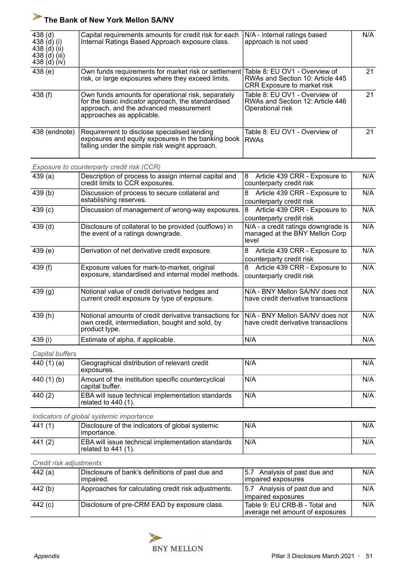| 438 <sub>(d)</sub><br>438 (d) (i)<br>438 $(d)$ $(ii)$<br>438 $(d)$ (iii)<br>438 (d) (iv) | Capital requirements amounts for credit risk for each<br>Internal Ratings Based Approach exposure class.                                                                        | N/A - internal ratings based<br>approach is not used                                                    | N/A |
|------------------------------------------------------------------------------------------|---------------------------------------------------------------------------------------------------------------------------------------------------------------------------------|---------------------------------------------------------------------------------------------------------|-----|
| 438(e)                                                                                   | Own funds requirements for market risk or settlement<br>risk, or large exposures where they exceed limits.                                                                      | Table 8: EU OV1 - Overview of<br>RWAs and Section 10: Article 445<br><b>CRR Exposure to market risk</b> | 21  |
| 438 $(f)$                                                                                | Own funds amounts for operational risk, separately<br>for the basic indicator approach, the standardised<br>approach, and the advanced measurement<br>approaches as applicable. | Table 8: EU OV1 - Overview of<br>RWAs and Section 12: Article 446<br>Operational risk                   | 21  |
| 438 (endnote)                                                                            | Requirement to disclose specialised lending<br>exposures and equity exposures in the banking book<br>falling under the simple risk weight approach.                             | Table 8: EU OV1 - Overview of<br><b>RWAs</b>                                                            | 21  |

*Exposure to counterparty credit risk (CCR)*

| 439(a)    | Description of process to assign internal capital and<br>credit limits to CCR exposures.                                   | Article 439 CRR - Exposure to<br>8<br>counterparty credit risk                 | N/A |
|-----------|----------------------------------------------------------------------------------------------------------------------------|--------------------------------------------------------------------------------|-----|
| 439(b)    | Discussion of process to secure collateral and<br>establishing reserves.                                                   | Article 439 CRR - Exposure to<br>8<br>counterparty credit risk                 | N/A |
| 439(c)    | Discussion of management of wrong-way exposures.                                                                           | Article 439 CRR - Exposure to<br>8<br>counterparty credit risk                 | N/A |
| 439(d)    | Disclosure of collateral to be provided (outflows) in<br>the event of a ratings downgrade.                                 | N/A - a credit ratings downgrade is<br>managed at the BNY Mellon Corp<br>level | N/A |
| 439(e)    | Derivation of net derivative credit exposure.                                                                              | Article 439 CRR - Exposure to<br>8<br>counterparty credit risk                 | N/A |
| 439 $(f)$ | Exposure values for mark-to-market, original<br>exposure, standardised and internal model methods.                         | Article 439 CRR - Exposure to<br>8<br>counterparty credit risk                 | N/A |
| 439(g)    | Notional value of credit derivative hedges and<br>current credit exposure by type of exposure.                             | N/A - BNY Mellon SA/NV does not<br>have credit derivative transactions         | N/A |
| 439(h)    | Notional amounts of credit derivative transactions for<br>own credit, intermediation, bought and sold, by<br>product type. | N/A - BNY Mellon SA/NV does not<br>have credit derivative transactions         | N/A |
| 439 (i)   | Estimate of alpha, if applicable.                                                                                          | N/A                                                                            | N/A |
|           |                                                                                                                            |                                                                                |     |

*Capital buffers*

| 440 (1) (a)     | Geographical distribution of relevant credit<br>exposures.               | N/A  | N/A |
|-----------------|--------------------------------------------------------------------------|------|-----|
| 440 $(1)$ $(b)$ | Amount of the institution specific countercyclical<br>capital buffer.    | IN/A | N/A |
| 440 (2)         | EBA will issue technical implementation standards<br>related to 440 (1). | N/A  | N/A |

*Indicators of global systemic importance*

| 441 (1  | Disclosure of the indicators of global systemic<br>I importance.                | 'N/A | N/A |
|---------|---------------------------------------------------------------------------------|------|-----|
| 441 (2) | <b>EBA will issue technical implementation standards</b><br>related to 441 (1). | 'N/A | N/A |

*Credit risk adjustments*

| 442 (a) | Disclosure of bank's definitions of past due and<br>limpaired. | 5.7 Analysis of past due and<br>impaired exposures               | N/A |
|---------|----------------------------------------------------------------|------------------------------------------------------------------|-----|
| 442(b)  | Approaches for calculating credit risk adjustments.            | 5.7 Analysis of past due and<br>impaired exposures               | N/A |
| 442 (c) | Disclosure of pre-CRM EAD by exposure class.                   | Table 9: EU CRB-B - Total and<br>average net amount of exposures | N/A |

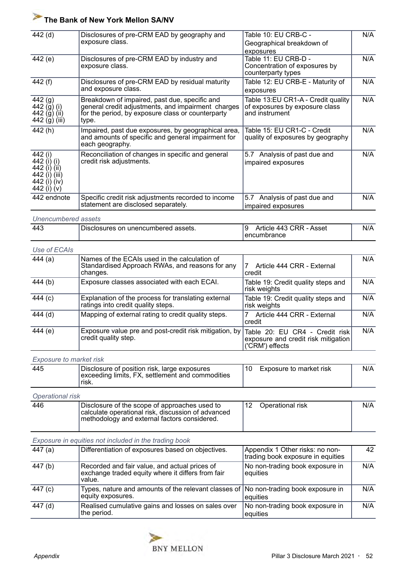| 442 (d)                                                                                | Disclosures of pre-CRM EAD by geography and<br>exposure class.                                                                                                    | Table 10: EU CRB-C -<br>Geographical breakdown of                                        | N/A |
|----------------------------------------------------------------------------------------|-------------------------------------------------------------------------------------------------------------------------------------------------------------------|------------------------------------------------------------------------------------------|-----|
| 442 (e)                                                                                | Disclosures of pre-CRM EAD by industry and<br>exposure class.                                                                                                     | exposures<br>Table 11: EU CRB-D -<br>Concentration of exposures by<br>counterparty types | N/A |
| 442 (f)                                                                                | Disclosures of pre-CRM EAD by residual maturity<br>and exposure class.                                                                                            | Table 12: EU CRB-E - Maturity of<br>exposures                                            | N/A |
| 442 <sub>(g)</sub><br>442 $(g)$ (i)<br>442 (g) (ii)<br>442 (g) (iii)                   | Breakdown of impaired, past due, specific and<br>general credit adjustments, and impairment charges<br>for the period, by exposure class or counterparty<br>type. | Table 13:EU CR1-A - Credit quality<br>of exposures by exposure class<br>and instrument   | N/A |
| 442 (h)                                                                                | Impaired, past due exposures, by geographical area,<br>and amounts of specific and general impairment for<br>each geography.                                      | Table 15: EU CR1-C - Credit<br>quality of exposures by geography                         | N/A |
| 442 (i)<br>442 (i) (i)<br>442 (i) (ii)<br>442 (i) (iii)<br>442 (i) (iv)<br>442 (i) (v) | Reconciliation of changes in specific and general<br>credit risk adjustments.                                                                                     | 5.7 Analysis of past due and<br>impaired exposures                                       | N/A |
| 442 endnote                                                                            | Specific credit risk adjustments recorded to income<br>statement are disclosed separately.                                                                        | 5.7 Analysis of past due and<br>impaired exposures                                       | N/A |

#### *Unencumbered assets*

|     | .                                     |                                 |     |
|-----|---------------------------------------|---------------------------------|-----|
| 443 | I Disclosures on unencumbered assets. | a<br>Article 443 CRR<br>Asset - | N/A |
|     |                                       | l encumbrance                   |     |

# *Use of ECAIs*

| 444(a)  | Names of the ECAIs used in the calculation of<br>Standardised Approach RWAs, and reasons for any<br>changes. | Article 444 CRR - External<br>credit                                                     | N/A |
|---------|--------------------------------------------------------------------------------------------------------------|------------------------------------------------------------------------------------------|-----|
| 444 (b) | Exposure classes associated with each ECAI.                                                                  | Table 19: Credit quality steps and<br>risk weights                                       | N/A |
| 444 (c) | Explanation of the process for translating external<br>ratings into credit quality steps.                    | Table 19: Credit quality steps and<br>risk weights                                       | N/A |
| 444 (d) | Mapping of external rating to credit quality steps.                                                          | Article 444 CRR - External<br>credit                                                     | N/A |
| 444(e)  | Exposure value pre and post-credit risk mitigation, by<br>credit quality step.                               | Table 20: EU CR4 - Credit risk<br>exposure and credit risk mitigation<br>('CRM') effects | N/A |

#### *Exposure to market risk*

| N/A<br>445<br>Disclosure of position risk, large exposures<br>10<br>Exposure to market risk<br>exceeding limits, FX, settlement and commodities<br>risk. |
|----------------------------------------------------------------------------------------------------------------------------------------------------------|
|----------------------------------------------------------------------------------------------------------------------------------------------------------|

#### *Operational risk*

| 446 | Disclosure of the scope of approaches used to                                                        | Operational risk | N/A |
|-----|------------------------------------------------------------------------------------------------------|------------------|-----|
|     | calculate operational risk, discussion of advanced<br>I methodology and external factors considered. |                  |     |

#### *Exposure in equities not included in the trading book*

| 447 (a) | Differentiation of exposures based on objectives.                                                            | Appendix 1 Other risks: no non-<br>trading book exposure in equities | 42  |
|---------|--------------------------------------------------------------------------------------------------------------|----------------------------------------------------------------------|-----|
| 447 (b) | Recorded and fair value, and actual prices of<br>exchange traded equity where it differs from fair<br>value. | No non-trading book exposure in<br>equities                          | N/A |
| 447 (c) | Types, nature and amounts of the relevant classes of No non-trading book exposure in<br>equity exposures.    | equities                                                             | N/A |
| 447 (d) | Realised cumulative gains and losses on sales over<br>the period.                                            | No non-trading book exposure in<br>equities                          | N/A |

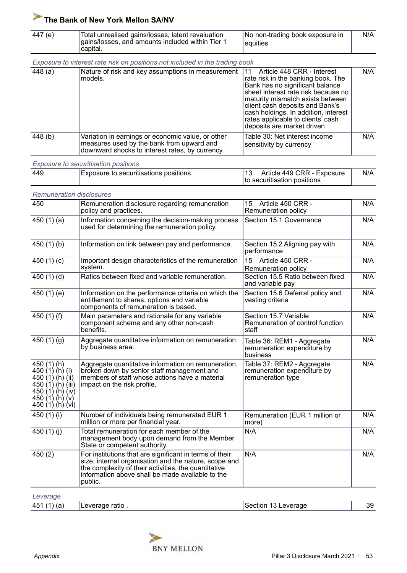| 447 (e)<br>Total unrealised gains/losses, latent revaluation<br>gains/losses, and amounts included within Tier 1<br>capital. | No non-trading book exposure in<br>eauities | N/A |
|------------------------------------------------------------------------------------------------------------------------------|---------------------------------------------|-----|
|------------------------------------------------------------------------------------------------------------------------------|---------------------------------------------|-----|

|         | Exposure to interest rate risk on positions not included in the trading book |                                                                                                                                                                                                                                                                                                                              |
|---------|------------------------------------------------------------------------------|------------------------------------------------------------------------------------------------------------------------------------------------------------------------------------------------------------------------------------------------------------------------------------------------------------------------------|
| 448 (a) | Nature of risk and key assumptions in measurement<br>models.                 | Article 448 CRR - Interest<br>rate risk in the banking book. The<br>Bank has no significant balance<br>sheet interest rate risk because no<br>maturity mismatch exists between<br>client cash deposits and Bank's<br>cash holdings. In addition, interest<br>rates applicable to clients' cash<br>deposits are market driven |
| 448 (b) | Variation in earnings or economic value, or other                            | Table 30: Net interest income                                                                                                                                                                                                                                                                                                |

measures used by the bank from upward and downward shocks to interest rates, by currency.

*Exposure to securitisation positions*

| 449 | Exposure to securitisations positions. | Article 449 CRR - Exposure<br>to securitisation positions | N/A |
|-----|----------------------------------------|-----------------------------------------------------------|-----|
|     |                                        |                                                           |     |

sensitivity by currency

| <b>Remuneration disclosures</b>                                                                                                                  |                                                                                                                                                                                                                                         |                                                                                |     |
|--------------------------------------------------------------------------------------------------------------------------------------------------|-----------------------------------------------------------------------------------------------------------------------------------------------------------------------------------------------------------------------------------------|--------------------------------------------------------------------------------|-----|
| 450                                                                                                                                              | Remuneration disclosure regarding remuneration<br>policy and practices.                                                                                                                                                                 | 15 Article 450 CRR -<br>Remuneration policy                                    | N/A |
| 450 $(1)(a)$                                                                                                                                     | Information concerning the decision-making process<br>used for determining the remuneration policy.                                                                                                                                     | Section 15.1 Governance                                                        | N/A |
| 450 $(1)(b)$                                                                                                                                     | Information on link between pay and performance.                                                                                                                                                                                        | Section 15.2 Aligning pay with<br>performance                                  | N/A |
| 450 $(1)(c)$                                                                                                                                     | Important design characteristics of the remuneration<br>system.                                                                                                                                                                         | 15 Article 450 CRR -<br>Remuneration policy                                    | N/A |
| 450 $(1)(d)$                                                                                                                                     | Ratios between fixed and variable remuneration.                                                                                                                                                                                         | Section 15.5 Ratio between fixed<br>and variable pay                           | N/A |
| 450 $(1)(e)$                                                                                                                                     | Information on the performance criteria on which the<br>entitlement to shares, options and variable<br>components of remuneration is based.                                                                                             | Section 15.6 Deferral policy and<br>vesting criteria                           | N/A |
| 450 $(1)$ $(f)$                                                                                                                                  | Main parameters and rationale for any variable<br>component scheme and any other non-cash<br>benefits.                                                                                                                                  | Section 15.7 Variable<br>Remuneration of control function<br>staff             | N/A |
| 450 $(1)(g)$                                                                                                                                     | Aggregate quantitative information on remuneration<br>by business area.                                                                                                                                                                 | Table 36: REM1 - Aggregate<br>remuneration expenditure by<br>business          | N/A |
| $450(1)$ (h)<br>$450(1)$ (h) (i)<br>450 $(1)$ $(h)$ $(ii)$<br>450 (1) (h) (iii)<br>450 $(1)(h)(iv)$<br>450 $(1)$ $(h)$ $(v)$<br>450 $(1)(h)(vi)$ | Aggregate quantitative information on remuneration,<br>broken down by senior staff management and<br>members of staff whose actions have a material<br>impact on the risk profile.                                                      | Table 37: REM2 - Aggregate<br>remuneration expenditure by<br>remuneration type | N/A |
| 450 (1) (i)                                                                                                                                      | Number of individuals being remunerated EUR 1<br>million or more per financial year.                                                                                                                                                    | Remuneration (EUR 1 million or<br>more)                                        | N/A |
| 450 $(1)(j)$                                                                                                                                     | Total remuneration for each member of the<br>management body upon demand from the Member<br>State or competent authority.                                                                                                               | N/A                                                                            | N/A |
| 450(2)                                                                                                                                           | For institutions that are significant in terms of their<br>size, internal organisation and the nature, scope and<br>the complexity of their activities, the quantitative<br>information above shall be made available to the<br>public. | N/A                                                                            | N/A |

| $AVAY = A$<br>$\sim$ or due |                    |         |                |          |
|-----------------------------|--------------------|---------|----------------|----------|
| 45<br>ø<br>$\sqrt{2}$<br>ιa | ratio.<br>Leverage | Section | Leverage<br>ାତ | ົດ<br>აყ |



 $N/A$ 

 $N/A$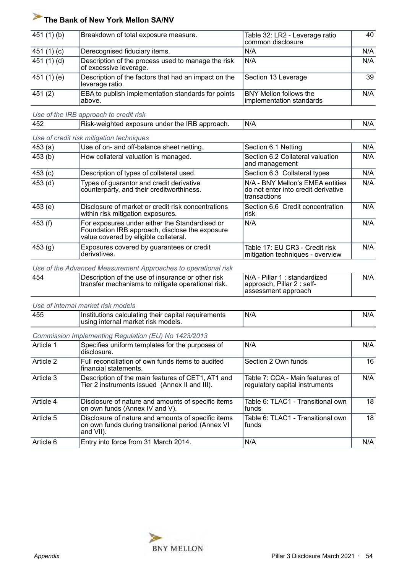| 451 $(1)$ $(b)$ | Breakdown of total exposure measure.                                         | Table 32: LR2 - Leverage ratio<br>common disclosure | 40  |
|-----------------|------------------------------------------------------------------------------|-----------------------------------------------------|-----|
| 451 $(1)(c)$    | Derecognised fiduciary items.                                                | N/A                                                 | N/A |
| 451 (1) (d)     | Description of the process used to manage the risk<br>of excessive leverage. | N/A                                                 | N/A |
| 451 (1) (e)     | Description of the factors that had an impact on the<br>leverage ratio.      | Section 13 Leverage                                 | 39  |
| 451(2)          | EBA to publish implementation standards for points<br>above.                 | BNY Mellon follows the<br>implementation standards  | N/A |

*Use of the IRB approach to credit risk*

| 452 | NRB approach.<br>exposure<br>under the<br>≺ısk<br>alantea -<br>–Wf | N/f |  |
|-----|--------------------------------------------------------------------|-----|--|

| 453(a)    | Use of on- and off-balance sheet netting.                                                                                                 | Section 6.1 Netting                                                                     | N/A |
|-----------|-------------------------------------------------------------------------------------------------------------------------------------------|-----------------------------------------------------------------------------------------|-----|
| 453(b)    | How collateral valuation is managed.                                                                                                      | Section 6.2 Collateral valuation<br>and management                                      | N/A |
| 453(c)    | Description of types of collateral used.                                                                                                  | Section 6.3 Collateral types                                                            | N/A |
| $453$ (d) | Types of guarantor and credit derivative<br>counterparty, and their creditworthiness.                                                     | N/A - BNY Mellon's EMEA entities<br>do not enter into credit derivative<br>transactions | N/A |
| 453(e)    | Disclosure of market or credit risk concentrations<br>within risk mitigation exposures.                                                   | Section 6.6 Credit concentration<br>risk                                                | N/A |
| 453(f)    | For exposures under either the Standardised or<br>Foundation IRB approach, disclose the exposure<br>value covered by eligible collateral. | N/A                                                                                     | N/A |
| 453(g)    | Exposures covered by guarantees or credit<br>derivatives.                                                                                 | Table 17: EU CR3 - Credit risk<br>mitigation techniques - overview                      | N/A |

#### *Use of the Advanced Measurement Approaches to operational risk*

| 454 | Description of the use of insurance or other risk<br>transfer mechanisms to mitigate operational risk. | N/A - Pillar 1 : standardized<br>approach, Pillar 2 : self- | N/A |
|-----|--------------------------------------------------------------------------------------------------------|-------------------------------------------------------------|-----|
|     |                                                                                                        | assessment approach                                         |     |

#### *Use of internal market risk models*

| オペド<br>⊧their capital<br>⊺Institutions<br>calculating<br>∵models.<br>⊧internal market risk<br>usina | N/A<br>' reauïrements | N <sub>L</sub> |
|-----------------------------------------------------------------------------------------------------|-----------------------|----------------|
|-----------------------------------------------------------------------------------------------------|-----------------------|----------------|

#### *Commission Implementing Regulation (EU) No 1423/2013*

| Article 1 | Specifies uniform templates for the purposes of<br>disclosure.                                                       | N/A                                                               | N/A |
|-----------|----------------------------------------------------------------------------------------------------------------------|-------------------------------------------------------------------|-----|
| Article 2 | Full reconciliation of own funds items to audited<br>financial statements.                                           | Section 2 Own funds                                               | 16  |
| Article 3 | Description of the main features of CET1, AT1 and<br>Tier 2 instruments issued (Annex II and III).                   | Table 7: CCA - Main features of<br>regulatory capital instruments | N/A |
| Article 4 | Disclosure of nature and amounts of specific items<br>on own funds (Annex IV and V).                                 | Table 6: TLAC1 - Transitional own<br>funds                        | 18  |
| Article 5 | Disclosure of nature and amounts of specific items<br>on own funds during transitional period (Annex VI<br>and VII). | Table 6: TLAC1 - Transitional own<br>funds                        | 18  |
| Article 6 | Entry into force from 31 March 2014.                                                                                 | N/A                                                               | N/A |